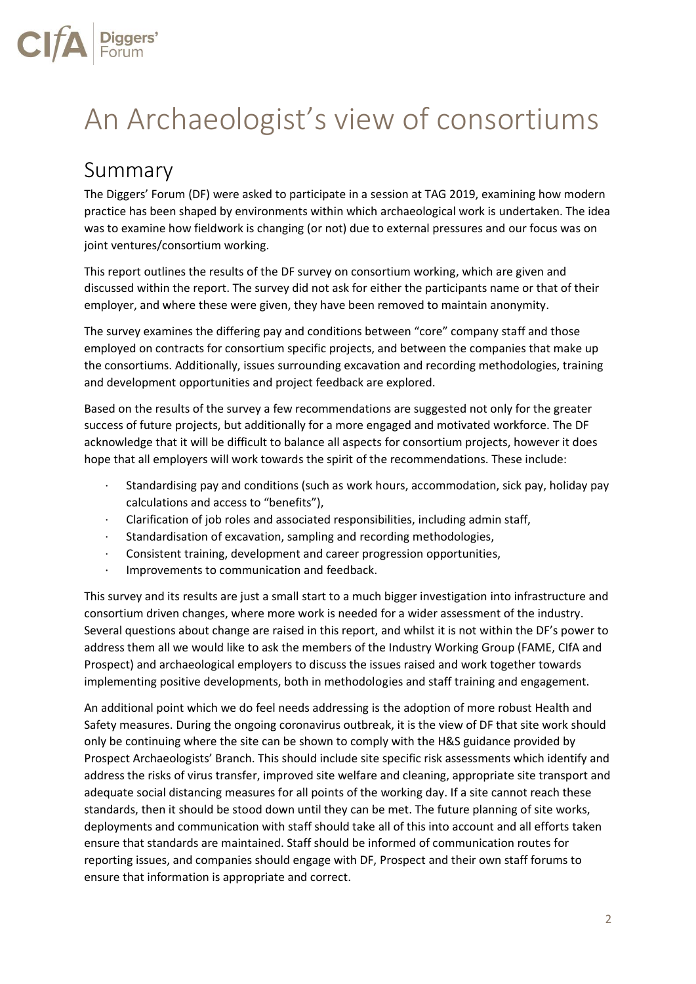# An Archaeologist's view of consortiums

# Summary

The Diggers' Forum (DF) were asked to participate in a session at TAG 2019, examining how modern practice has been shaped by environments within which archaeological work is undertaken. The idea was to examine how fieldwork is changing (or not) due to external pressures and our focus was on joint ventures/consortium working.

This report outlines the results of the DF survey on consortium working, which are given and discussed within the report. The survey did not ask for either the participants name or that of their employer, and where these were given, they have been removed to maintain anonymity.

The survey examines the differing pay and conditions between "core" company staff and those employed on contracts for consortium specific projects, and between the companies that make up the consortiums. Additionally, issues surrounding excavation and recording methodologies, training and development opportunities and project feedback are explored.

Based on the results of the survey a few recommendations are suggested not only for the greater success of future projects, but additionally for a more engaged and motivated workforce. The DF acknowledge that it will be difficult to balance all aspects for consortium projects, however it does hope that all employers will work towards the spirit of the recommendations. These include:

- · Standardising pay and conditions (such as work hours, accommodation, sick pay, holiday pay calculations and access to "benefits"),
- · Clarification of job roles and associated responsibilities, including admin staff,
- · Standardisation of excavation, sampling and recording methodologies,
- · Consistent training, development and career progression opportunities,
- · Improvements to communication and feedback.

This survey and its results are just a small start to a much bigger investigation into infrastructure and consortium driven changes, where more work is needed for a wider assessment of the industry. Several questions about change are raised in this report, and whilst it is not within the DF's power to address them all we would like to ask the members of the Industry Working Group (FAME, CIfA and Prospect) and archaeological employers to discuss the issues raised and work together towards implementing positive developments, both in methodologies and staff training and engagement.

An additional point which we do feel needs addressing is the adoption of more robust Health and Safety measures. During the ongoing coronavirus outbreak, it is the view of DF that site work should only be continuing where the site can be shown to comply with the H&S guidance provided by Prospect Archaeologists' Branch. This should include site specific risk assessments which identify and address the risks of virus transfer, improved site welfare and cleaning, appropriate site transport and adequate social distancing measures for all points of the working day. If a site cannot reach these standards, then it should be stood down until they can be met. The future planning of site works, deployments and communication with staff should take all of this into account and all efforts taken ensure that standards are maintained. Staff should be informed of communication routes for reporting issues, and companies should engage with DF, Prospect and their own staff forums to ensure that information is appropriate and correct.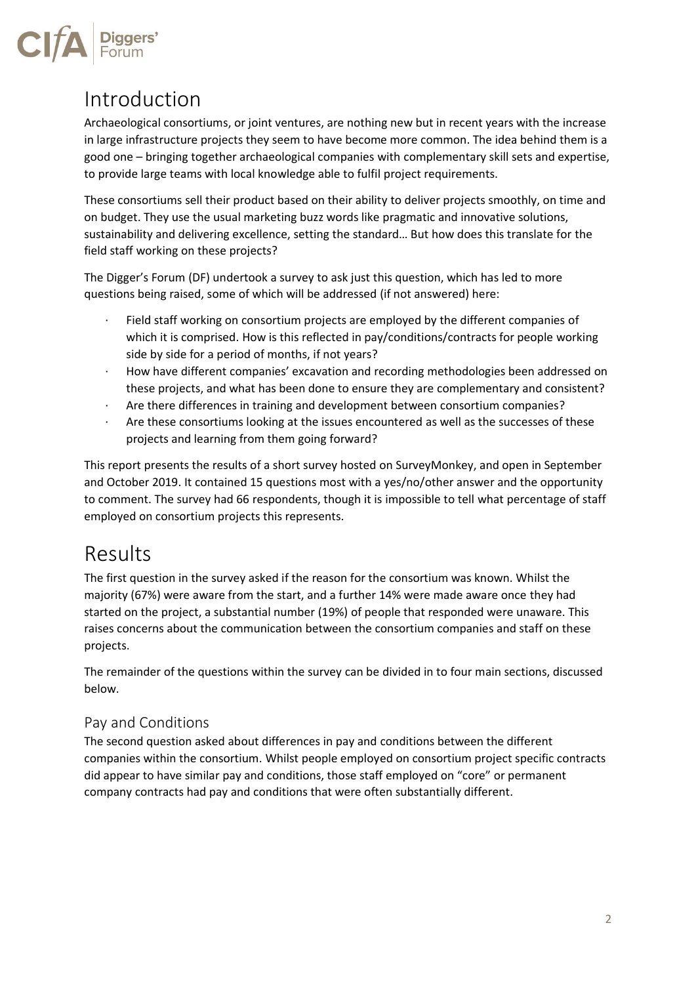

# Introduction

Archaeological consortiums, or joint ventures, are nothing new but in recent years with the increase in large infrastructure projects they seem to have become more common. The idea behind them is a good one – bringing together archaeological companies with complementary skill sets and expertise, to provide large teams with local knowledge able to fulfil project requirements.

These consortiums sell their product based on their ability to deliver projects smoothly, on time and on budget. They use the usual marketing buzz words like pragmatic and innovative solutions, sustainability and delivering excellence, setting the standard… But how does this translate for the field staff working on these projects?

The Digger's Forum (DF) undertook a survey to ask just this question, which has led to more questions being raised, some of which will be addressed (if not answered) here:

- Field staff working on consortium projects are employed by the different companies of which it is comprised. How is this reflected in pay/conditions/contracts for people working side by side for a period of months, if not years?
- · How have different companies' excavation and recording methodologies been addressed on these projects, and what has been done to ensure they are complementary and consistent?
- Are there differences in training and development between consortium companies?
- Are these consortiums looking at the issues encountered as well as the successes of these projects and learning from them going forward?

This report presents the results of a short survey hosted on SurveyMonkey, and open in September and October 2019. It contained 15 questions most with a yes/no/other answer and the opportunity to comment. The survey had 66 respondents, though it is impossible to tell what percentage of staff employed on consortium projects this represents.

# Results

The first question in the survey asked if the reason for the consortium was known. Whilst the majority (67%) were aware from the start, and a further 14% were made aware once they had started on the project, a substantial number (19%) of people that responded were unaware. This raises concerns about the communication between the consortium companies and staff on these projects.

The remainder of the questions within the survey can be divided in to four main sections, discussed below.

#### Pay and Conditions

The second question asked about differences in pay and conditions between the different companies within the consortium. Whilst people employed on consortium project specific contracts did appear to have similar pay and conditions, those staff employed on "core" or permanent company contracts had pay and conditions that were often substantially different.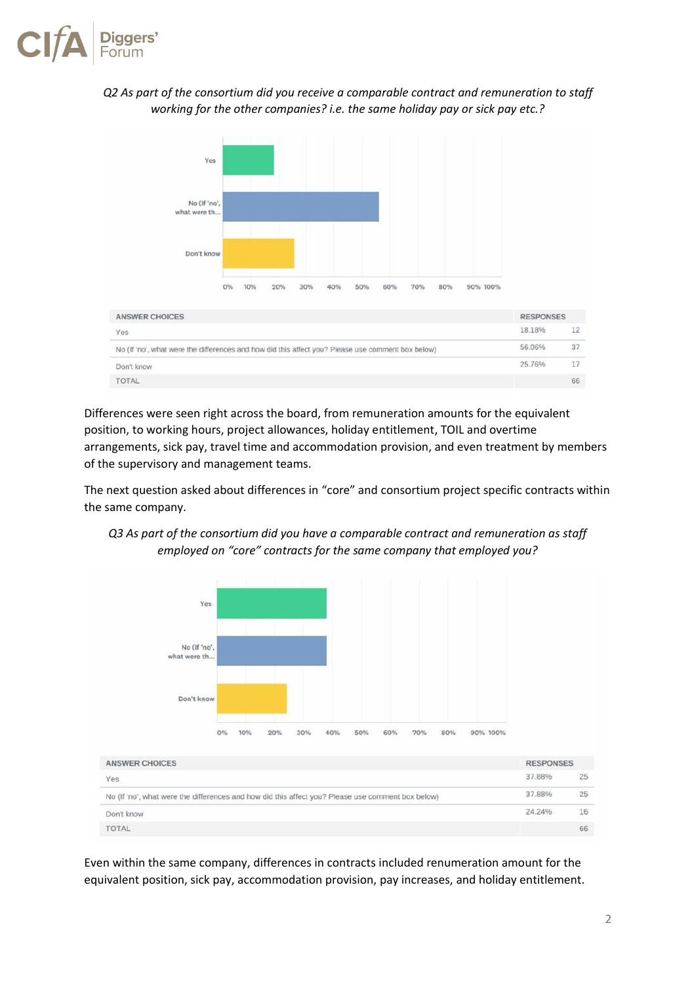

#### *Q2 As part of the consortium did you receive a comparable contract and remuneration to staff working for the other companies? i.e. the same holiday pay or sick pay etc.?*



Differences were seen right across the board, from remuneration amounts for the equivalent position, to working hours, project allowances, holiday entitlement, TOIL and overtime arrangements, sick pay, travel time and accommodation provision, and even treatment by members of the supervisory and management teams.

The next question asked about differences in "core" and consortium project specific contracts within the same company.





Even within the same company, differences in contracts included renumeration amount for the equivalent position, sick pay, accommodation provision, pay increases, and holiday entitlement.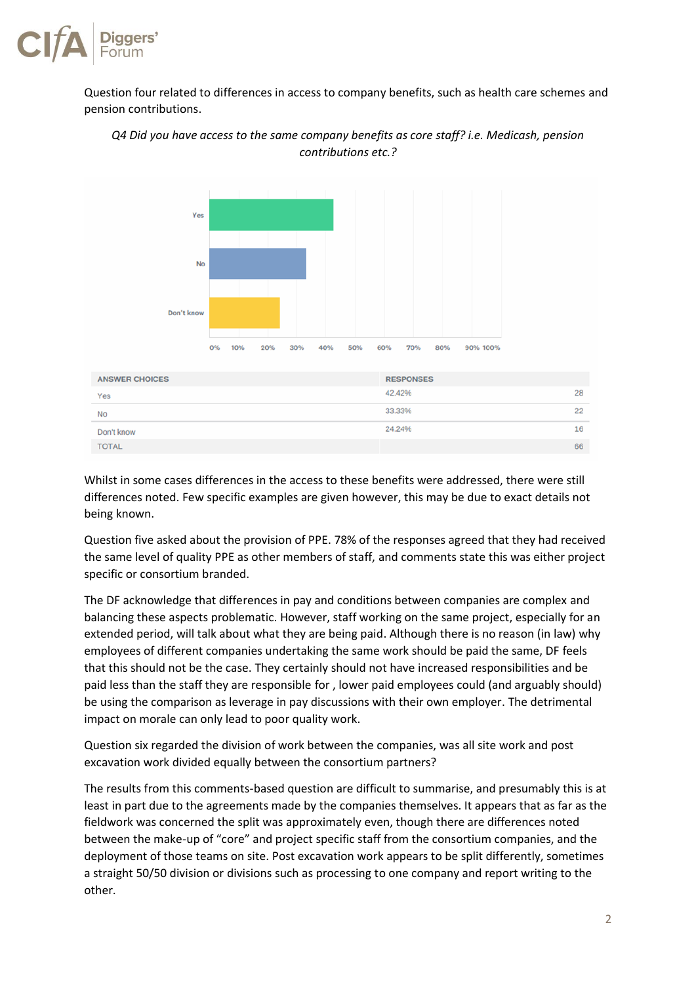

Question four related to differences in access to company benefits, such as health care schemes and pension contributions.



*Q4 Did you have access to the same company benefits as core staff? i.e. Medicash, pension contributions etc.?*

Whilst in some cases differences in the access to these benefits were addressed, there were still differences noted. Few specific examples are given however, this may be due to exact details not being known.

Question five asked about the provision of PPE. 78% of the responses agreed that they had received the same level of quality PPE as other members of staff, and comments state this was either project specific or consortium branded.

The DF acknowledge that differences in pay and conditions between companies are complex and balancing these aspects problematic. However, staff working on the same project, especially for an extended period, will talk about what they are being paid. Although there is no reason (in law) why employees of different companies undertaking the same work should be paid the same, DF feels that this should not be the case. They certainly should not have increased responsibilities and be paid less than the staff they are responsible for , lower paid employees could (and arguably should) be using the comparison as leverage in pay discussions with their own employer. The detrimental impact on morale can only lead to poor quality work.

Question six regarded the division of work between the companies, was all site work and post excavation work divided equally between the consortium partners?

The results from this comments-based question are difficult to summarise, and presumably this is at least in part due to the agreements made by the companies themselves. It appears that as far as the fieldwork was concerned the split was approximately even, though there are differences noted between the make-up of "core" and project specific staff from the consortium companies, and the deployment of those teams on site. Post excavation work appears to be split differently, sometimes a straight 50/50 division or divisions such as processing to one company and report writing to the other.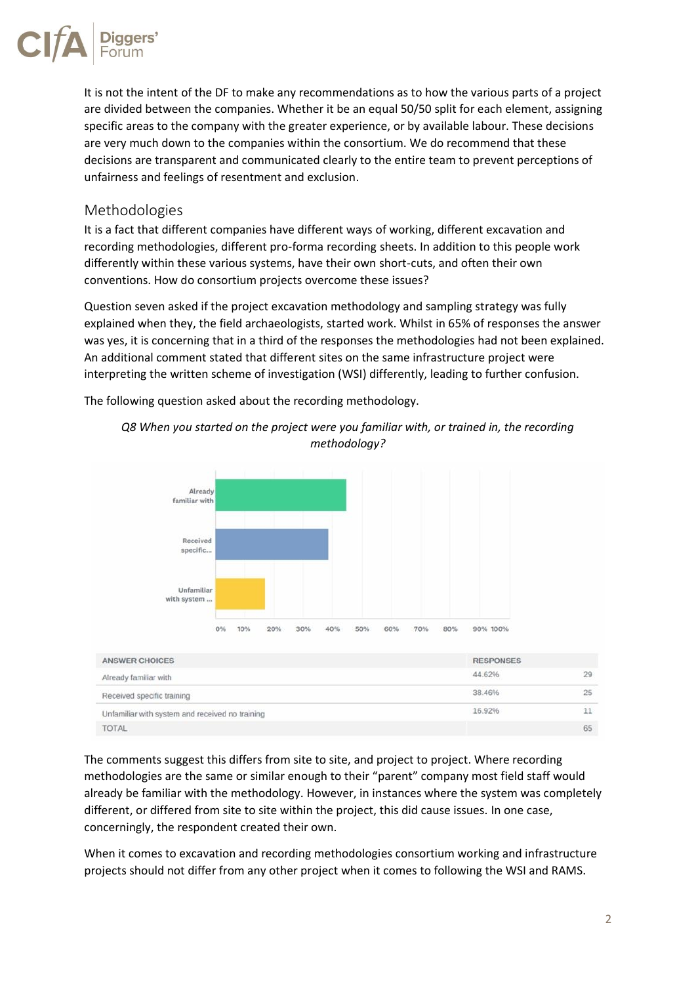

It is not the intent of the DF to make any recommendations as to how the various parts of a project are divided between the companies. Whether it be an equal 50/50 split for each element, assigning specific areas to the company with the greater experience, or by available labour. These decisions are very much down to the companies within the consortium. We do recommend that these decisions are transparent and communicated clearly to the entire team to prevent perceptions of unfairness and feelings of resentment and exclusion.

#### Methodologies

It is a fact that different companies have different ways of working, different excavation and recording methodologies, different pro-forma recording sheets. In addition to this people work differently within these various systems, have their own short-cuts, and often their own conventions. How do consortium projects overcome these issues?

Question seven asked if the project excavation methodology and sampling strategy was fully explained when they, the field archaeologists, started work. Whilst in 65% of responses the answer was yes, it is concerning that in a third of the responses the methodologies had not been explained. An additional comment stated that different sites on the same infrastructure project were interpreting the written scheme of investigation (WSI) differently, leading to further confusion.

The following question asked about the recording methodology.



*Q8 When you started on the project were you familiar with, or trained in, the recording methodology?*

The comments suggest this differs from site to site, and project to project. Where recording methodologies are the same or similar enough to their "parent" company most field staff would already be familiar with the methodology. However, in instances where the system was completely different, or differed from site to site within the project, this did cause issues. In one case, concerningly, the respondent created their own.

When it comes to excavation and recording methodologies consortium working and infrastructure projects should not differ from any other project when it comes to following the WSI and RAMS.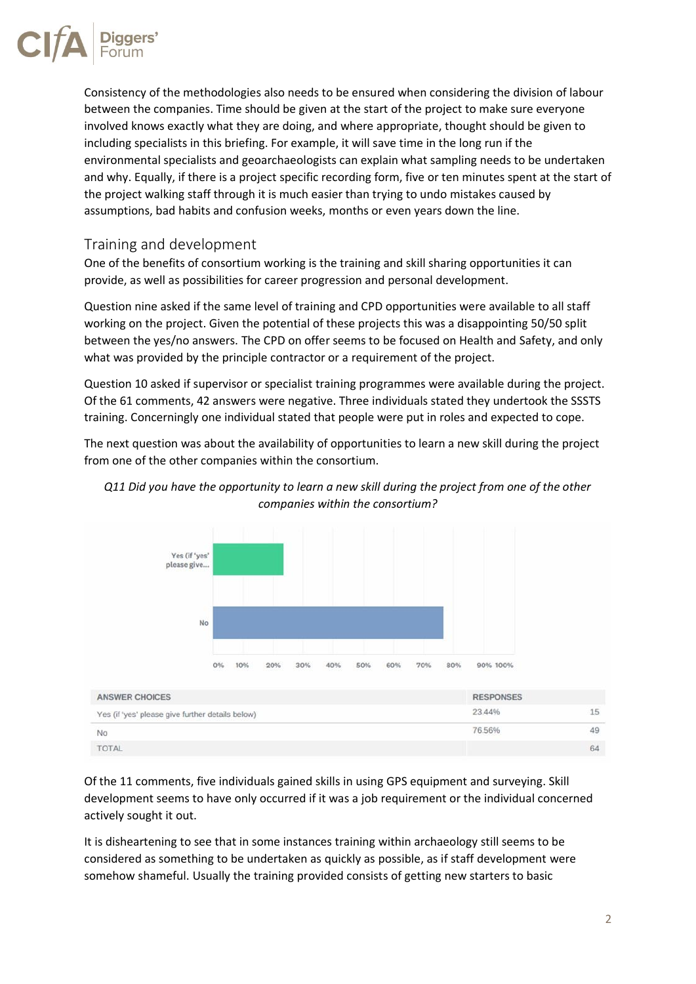

Consistency of the methodologies also needs to be ensured when considering the division of labour between the companies. Time should be given at the start of the project to make sure everyone involved knows exactly what they are doing, and where appropriate, thought should be given to including specialists in this briefing. For example, it will save time in the long run if the environmental specialists and geoarchaeologists can explain what sampling needs to be undertaken and why. Equally, if there is a project specific recording form, five or ten minutes spent at the start of the project walking staff through it is much easier than trying to undo mistakes caused by assumptions, bad habits and confusion weeks, months or even years down the line.

#### Training and development

One of the benefits of consortium working is the training and skill sharing opportunities it can provide, as well as possibilities for career progression and personal development.

Question nine asked if the same level of training and CPD opportunities were available to all staff working on the project. Given the potential of these projects this was a disappointing 50/50 split between the yes/no answers. The CPD on offer seems to be focused on Health and Safety, and only what was provided by the principle contractor or a requirement of the project.

Question 10 asked if supervisor or specialist training programmes were available during the project. Of the 61 comments, 42 answers were negative. Three individuals stated they undertook the SSSTS training. Concerningly one individual stated that people were put in roles and expected to cope.

The next question was about the availability of opportunities to learn a new skill during the project from one of the other companies within the consortium.



#### *Q11 Did you have the opportunity to learn a new skill during the project from one of the other companies within the consortium?*

Of the 11 comments, five individuals gained skills in using GPS equipment and surveying. Skill development seems to have only occurred if it was a job requirement or the individual concerned actively sought it out.

It is disheartening to see that in some instances training within archaeology still seems to be considered as something to be undertaken as quickly as possible, as if staff development were somehow shameful. Usually the training provided consists of getting new starters to basic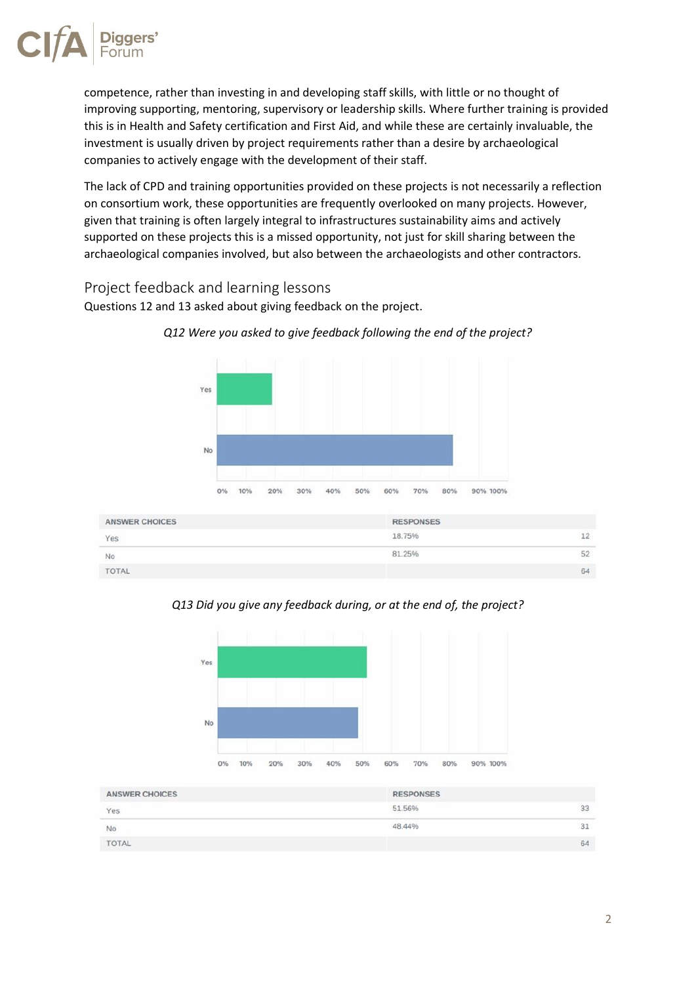

competence, rather than investing in and developing staff skills, with little or no thought of improving supporting, mentoring, supervisory or leadership skills. Where further training is provided this is in Health and Safety certification and First Aid, and while these are certainly invaluable, the investment is usually driven by project requirements rather than a desire by archaeological companies to actively engage with the development of their staff.

The lack of CPD and training opportunities provided on these projects is not necessarily a reflection on consortium work, these opportunities are frequently overlooked on many projects. However, given that training is often largely integral to infrastructures sustainability aims and actively supported on these projects this is a missed opportunity, not just for skill sharing between the archaeological companies involved, but also between the archaeologists and other contractors.

#### Project feedback and learning lessons

Questions 12 and 13 asked about giving feedback on the project.



*Q12 Were you asked to give feedback following the end of the project?*

*Q13 Did you give any feedback during, or at the end of, the project?*

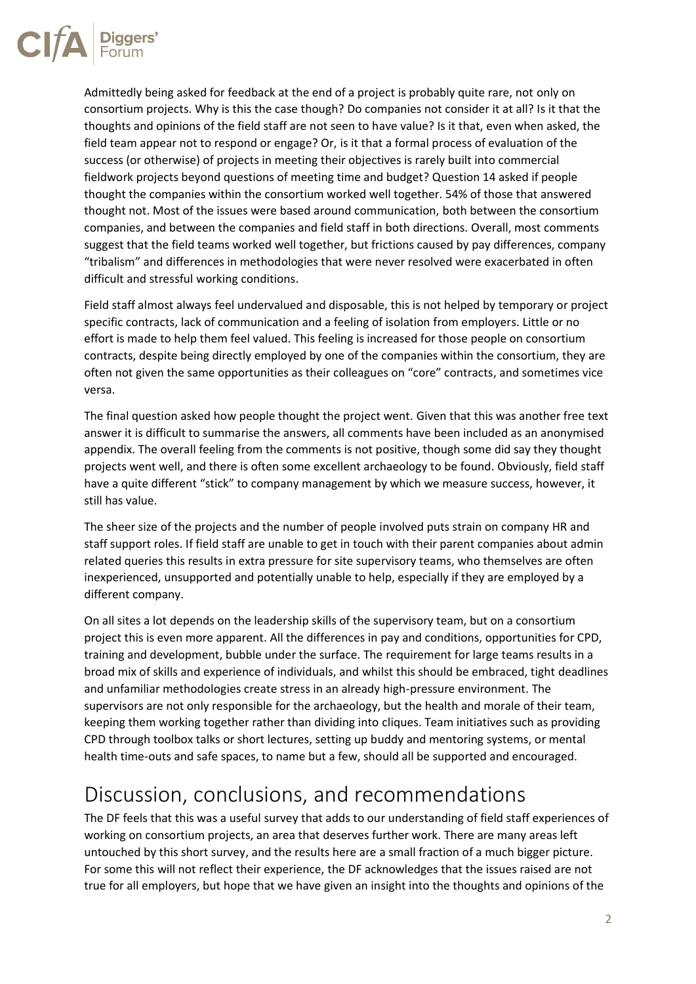

Admittedly being asked for feedback at the end of a project is probably quite rare, not only on consortium projects. Why is this the case though? Do companies not consider it at all? Is it that the thoughts and opinions of the field staff are not seen to have value? Is it that, even when asked, the field team appear not to respond or engage? Or, is it that a formal process of evaluation of the success (or otherwise) of projects in meeting their objectives is rarely built into commercial fieldwork projects beyond questions of meeting time and budget? Question 14 asked if people thought the companies within the consortium worked well together. 54% of those that answered thought not. Most of the issues were based around communication, both between the consortium companies, and between the companies and field staff in both directions. Overall, most comments suggest that the field teams worked well together, but frictions caused by pay differences, company "tribalism" and differences in methodologies that were never resolved were exacerbated in often difficult and stressful working conditions.

Field staff almost always feel undervalued and disposable, this is not helped by temporary or project specific contracts, lack of communication and a feeling of isolation from employers. Little or no effort is made to help them feel valued. This feeling is increased for those people on consortium contracts, despite being directly employed by one of the companies within the consortium, they are often not given the same opportunities as their colleagues on "core" contracts, and sometimes vice versa.

The final question asked how people thought the project went. Given that this was another free text answer it is difficult to summarise the answers, all comments have been included as an anonymised appendix. The overall feeling from the comments is not positive, though some did say they thought projects went well, and there is often some excellent archaeology to be found. Obviously, field staff have a quite different "stick" to company management by which we measure success, however, it still has value.

The sheer size of the projects and the number of people involved puts strain on company HR and staff support roles. If field staff are unable to get in touch with their parent companies about admin related queries this results in extra pressure for site supervisory teams, who themselves are often inexperienced, unsupported and potentially unable to help, especially if they are employed by a different company.

On all sites a lot depends on the leadership skills of the supervisory team, but on a consortium project this is even more apparent. All the differences in pay and conditions, opportunities for CPD, training and development, bubble under the surface. The requirement for large teams results in a broad mix of skills and experience of individuals, and whilst this should be embraced, tight deadlines and unfamiliar methodologies create stress in an already high-pressure environment. The supervisors are not only responsible for the archaeology, but the health and morale of their team, keeping them working together rather than dividing into cliques. Team initiatives such as providing CPD through toolbox talks or short lectures, setting up buddy and mentoring systems, or mental health time-outs and safe spaces, to name but a few, should all be supported and encouraged.

# Discussion, conclusions, and recommendations

The DF feels that this was a useful survey that adds to our understanding of field staff experiences of working on consortium projects, an area that deserves further work. There are many areas left untouched by this short survey, and the results here are a small fraction of a much bigger picture. For some this will not reflect their experience, the DF acknowledges that the issues raised are not true for all employers, but hope that we have given an insight into the thoughts and opinions of the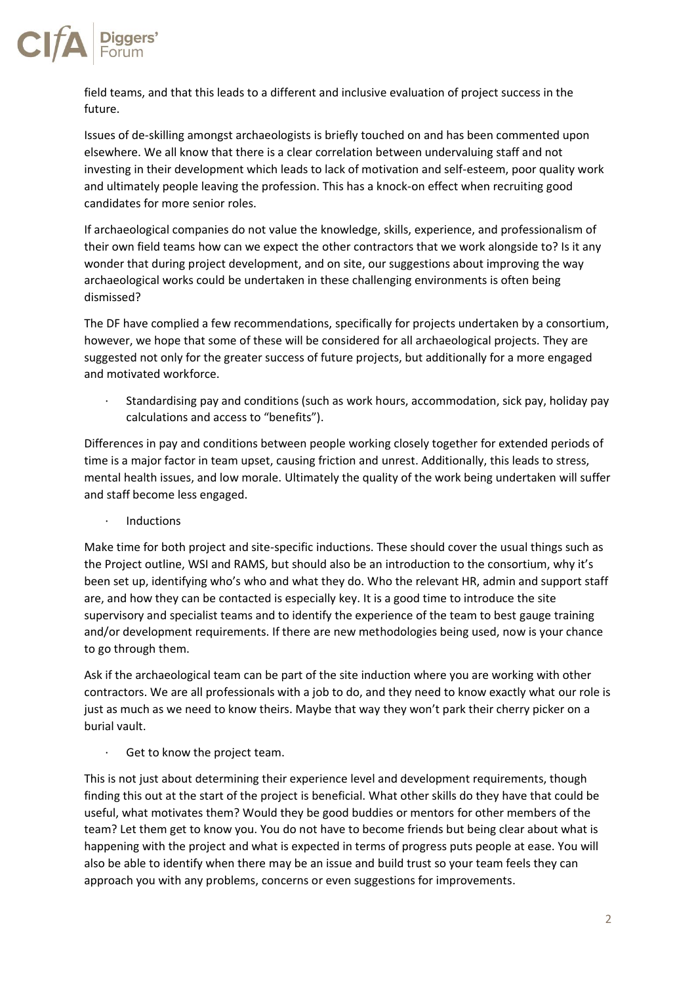

field teams, and that this leads to a different and inclusive evaluation of project success in the future.

Issues of de-skilling amongst archaeologists is briefly touched on and has been commented upon elsewhere. We all know that there is a clear correlation between undervaluing staff and not investing in their development which leads to lack of motivation and self-esteem, poor quality work and ultimately people leaving the profession. This has a knock-on effect when recruiting good candidates for more senior roles.

If archaeological companies do not value the knowledge, skills, experience, and professionalism of their own field teams how can we expect the other contractors that we work alongside to? Is it any wonder that during project development, and on site, our suggestions about improving the way archaeological works could be undertaken in these challenging environments is often being dismissed?

The DF have complied a few recommendations, specifically for projects undertaken by a consortium, however, we hope that some of these will be considered for all archaeological projects. They are suggested not only for the greater success of future projects, but additionally for a more engaged and motivated workforce.

· Standardising pay and conditions (such as work hours, accommodation, sick pay, holiday pay calculations and access to "benefits").

Differences in pay and conditions between people working closely together for extended periods of time is a major factor in team upset, causing friction and unrest. Additionally, this leads to stress, mental health issues, and low morale. Ultimately the quality of the work being undertaken will suffer and staff become less engaged.

· Inductions

Make time for both project and site-specific inductions. These should cover the usual things such as the Project outline, WSI and RAMS, but should also be an introduction to the consortium, why it's been set up, identifying who's who and what they do. Who the relevant HR, admin and support staff are, and how they can be contacted is especially key. It is a good time to introduce the site supervisory and specialist teams and to identify the experience of the team to best gauge training and/or development requirements. If there are new methodologies being used, now is your chance to go through them.

Ask if the archaeological team can be part of the site induction where you are working with other contractors. We are all professionals with a job to do, and they need to know exactly what our role is just as much as we need to know theirs. Maybe that way they won't park their cherry picker on a burial vault.

Get to know the project team.

This is not just about determining their experience level and development requirements, though finding this out at the start of the project is beneficial. What other skills do they have that could be useful, what motivates them? Would they be good buddies or mentors for other members of the team? Let them get to know you. You do not have to become friends but being clear about what is happening with the project and what is expected in terms of progress puts people at ease. You will also be able to identify when there may be an issue and build trust so your team feels they can approach you with any problems, concerns or even suggestions for improvements.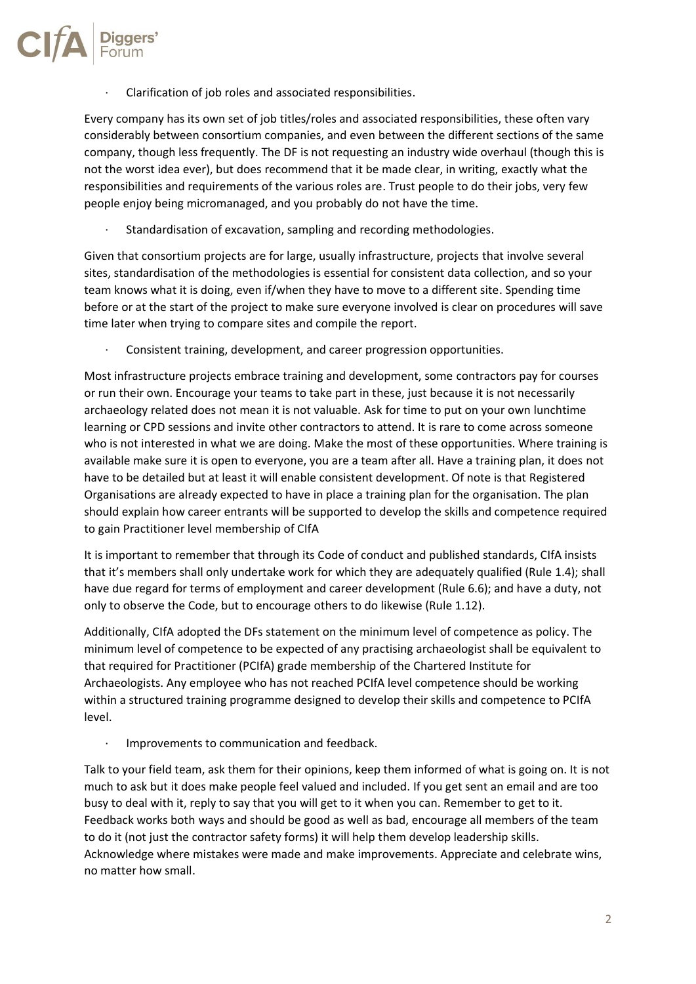· Clarification of job roles and associated responsibilities.

Every company has its own set of job titles/roles and associated responsibilities, these often vary considerably between consortium companies, and even between the different sections of the same company, though less frequently. The DF is not requesting an industry wide overhaul (though this is not the worst idea ever), but does recommend that it be made clear, in writing, exactly what the responsibilities and requirements of the various roles are. Trust people to do their jobs, very few people enjoy being micromanaged, and you probably do not have the time.

Standardisation of excavation, sampling and recording methodologies.

Given that consortium projects are for large, usually infrastructure, projects that involve several sites, standardisation of the methodologies is essential for consistent data collection, and so your team knows what it is doing, even if/when they have to move to a different site. Spending time before or at the start of the project to make sure everyone involved is clear on procedures will save time later when trying to compare sites and compile the report.

· Consistent training, development, and career progression opportunities.

Most infrastructure projects embrace training and development, some contractors pay for courses or run their own. Encourage your teams to take part in these, just because it is not necessarily archaeology related does not mean it is not valuable. Ask for time to put on your own lunchtime learning or CPD sessions and invite other contractors to attend. It is rare to come across someone who is not interested in what we are doing. Make the most of these opportunities. Where training is available make sure it is open to everyone, you are a team after all. Have a training plan, it does not have to be detailed but at least it will enable consistent development. Of note is that Registered Organisations are already expected to have in place a training plan for the organisation. The plan should explain how career entrants will be supported to develop the skills and competence required to gain Practitioner level membership of CIfA

It is important to remember that through its Code of conduct and published standards, CIfA insists that it's members shall only undertake work for which they are adequately qualified (Rule 1.4); shall have due regard for terms of employment and career development (Rule 6.6); and have a duty, not only to observe the Code, but to encourage others to do likewise (Rule 1.12).

Additionally, CIfA adopted the DFs statement on the minimum level of competence as policy. The minimum level of competence to be expected of any practising archaeologist shall be equivalent to that required for Practitioner (PCIfA) grade membership of the Chartered Institute for Archaeologists. Any employee who has not reached PCIfA level competence should be working within a structured training programme designed to develop their skills and competence to PCIfA level.

· Improvements to communication and feedback.

Talk to your field team, ask them for their opinions, keep them informed of what is going on. It is not much to ask but it does make people feel valued and included. If you get sent an email and are too busy to deal with it, reply to say that you will get to it when you can. Remember to get to it. Feedback works both ways and should be good as well as bad, encourage all members of the team to do it (not just the contractor safety forms) it will help them develop leadership skills. Acknowledge where mistakes were made and make improvements. Appreciate and celebrate wins, no matter how small.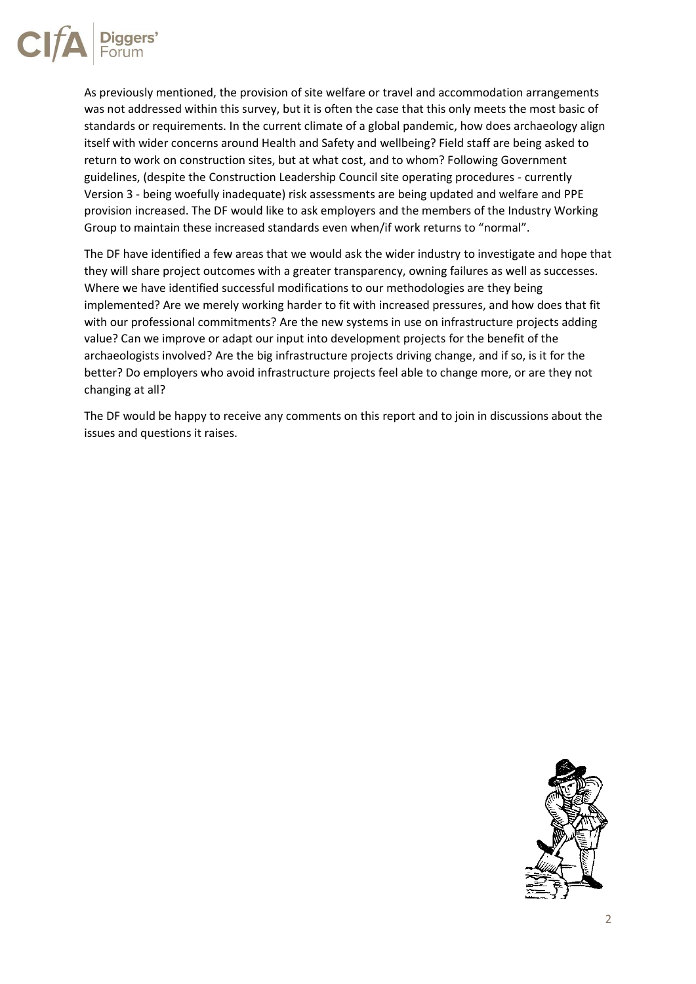

As previously mentioned, the provision of site welfare or travel and accommodation arrangements was not addressed within this survey, but it is often the case that this only meets the most basic of standards or requirements. In the current climate of a global pandemic, how does archaeology align itself with wider concerns around Health and Safety and wellbeing? Field staff are being asked to return to work on construction sites, but at what cost, and to whom? Following Government guidelines, (despite the Construction Leadership Council site operating procedures - currently Version 3 - being woefully inadequate) risk assessments are being updated and welfare and PPE provision increased. The DF would like to ask employers and the members of the Industry Working Group to maintain these increased standards even when/if work returns to "normal".

The DF have identified a few areas that we would ask the wider industry to investigate and hope that they will share project outcomes with a greater transparency, owning failures as well as successes. Where we have identified successful modifications to our methodologies are they being implemented? Are we merely working harder to fit with increased pressures, and how does that fit with our professional commitments? Are the new systems in use on infrastructure projects adding value? Can we improve or adapt our input into development projects for the benefit of the archaeologists involved? Are the big infrastructure projects driving change, and if so, is it for the better? Do employers who avoid infrastructure projects feel able to change more, or are they not changing at all?

The DF would be happy to receive any comments on this report and to join in discussions about the issues and questions it raises.

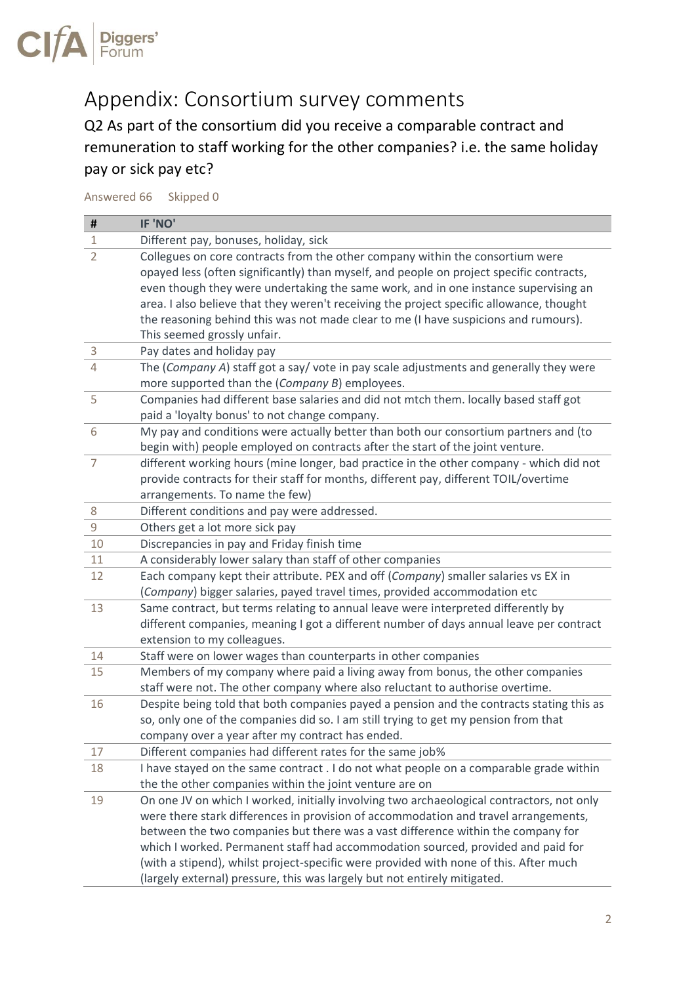

# Appendix: Consortium survey comments

Q2 As part of the consortium did you receive a comparable contract and remuneration to staff working for the other companies? i.e. the same holiday pay or sick pay etc?

#### Answered 66 Skipped 0

| #                   | IF 'NO'                                                                                                                                                                                                                                                                                                                                                      |
|---------------------|--------------------------------------------------------------------------------------------------------------------------------------------------------------------------------------------------------------------------------------------------------------------------------------------------------------------------------------------------------------|
| 1                   | Different pay, bonuses, holiday, sick                                                                                                                                                                                                                                                                                                                        |
| $\overline{2}$      | Collegues on core contracts from the other company within the consortium were<br>opayed less (often significantly) than myself, and people on project specific contracts,<br>even though they were undertaking the same work, and in one instance supervising an<br>area. I also believe that they weren't receiving the project specific allowance, thought |
|                     | the reasoning behind this was not made clear to me (I have suspicions and rumours).                                                                                                                                                                                                                                                                          |
|                     | This seemed grossly unfair.                                                                                                                                                                                                                                                                                                                                  |
| 3<br>$\overline{4}$ | Pay dates and holiday pay<br>The (Company A) staff got a say/ vote in pay scale adjustments and generally they were                                                                                                                                                                                                                                          |
|                     | more supported than the (Company B) employees.                                                                                                                                                                                                                                                                                                               |
| 5                   | Companies had different base salaries and did not mtch them. locally based staff got<br>paid a 'loyalty bonus' to not change company.                                                                                                                                                                                                                        |
| 6                   | My pay and conditions were actually better than both our consortium partners and (to<br>begin with) people employed on contracts after the start of the joint venture.                                                                                                                                                                                       |
| $\overline{7}$      | different working hours (mine longer, bad practice in the other company - which did not                                                                                                                                                                                                                                                                      |
|                     | provide contracts for their staff for months, different pay, different TOIL/overtime                                                                                                                                                                                                                                                                         |
|                     | arrangements. To name the few)                                                                                                                                                                                                                                                                                                                               |
| 8                   | Different conditions and pay were addressed.                                                                                                                                                                                                                                                                                                                 |
| $\mathsf 9$         | Others get a lot more sick pay                                                                                                                                                                                                                                                                                                                               |
| 10                  | Discrepancies in pay and Friday finish time                                                                                                                                                                                                                                                                                                                  |
| 11                  | A considerably lower salary than staff of other companies                                                                                                                                                                                                                                                                                                    |
| 12                  | Each company kept their attribute. PEX and off (Company) smaller salaries vs EX in                                                                                                                                                                                                                                                                           |
|                     | (Company) bigger salaries, payed travel times, provided accommodation etc                                                                                                                                                                                                                                                                                    |
| 13                  | Same contract, but terms relating to annual leave were interpreted differently by                                                                                                                                                                                                                                                                            |
|                     | different companies, meaning I got a different number of days annual leave per contract<br>extension to my colleagues.                                                                                                                                                                                                                                       |
| 14                  | Staff were on lower wages than counterparts in other companies                                                                                                                                                                                                                                                                                               |
| 15                  | Members of my company where paid a living away from bonus, the other companies                                                                                                                                                                                                                                                                               |
|                     | staff were not. The other company where also reluctant to authorise overtime.                                                                                                                                                                                                                                                                                |
| 16                  | Despite being told that both companies payed a pension and the contracts stating this as<br>so, only one of the companies did so. I am still trying to get my pension from that                                                                                                                                                                              |
|                     | company over a year after my contract has ended.                                                                                                                                                                                                                                                                                                             |
| 17                  | Different companies had different rates for the same job%                                                                                                                                                                                                                                                                                                    |
| 18                  | I have stayed on the same contract . I do not what people on a comparable grade within                                                                                                                                                                                                                                                                       |
|                     | the the other companies within the joint venture are on                                                                                                                                                                                                                                                                                                      |
| 19                  | On one JV on which I worked, initially involving two archaeological contractors, not only                                                                                                                                                                                                                                                                    |
|                     | were there stark differences in provision of accommodation and travel arrangements,                                                                                                                                                                                                                                                                          |
|                     | between the two companies but there was a vast difference within the company for                                                                                                                                                                                                                                                                             |
|                     | which I worked. Permanent staff had accommodation sourced, provided and paid for                                                                                                                                                                                                                                                                             |
|                     | (with a stipend), whilst project-specific were provided with none of this. After much                                                                                                                                                                                                                                                                        |
|                     | (largely external) pressure, this was largely but not entirely mitigated.                                                                                                                                                                                                                                                                                    |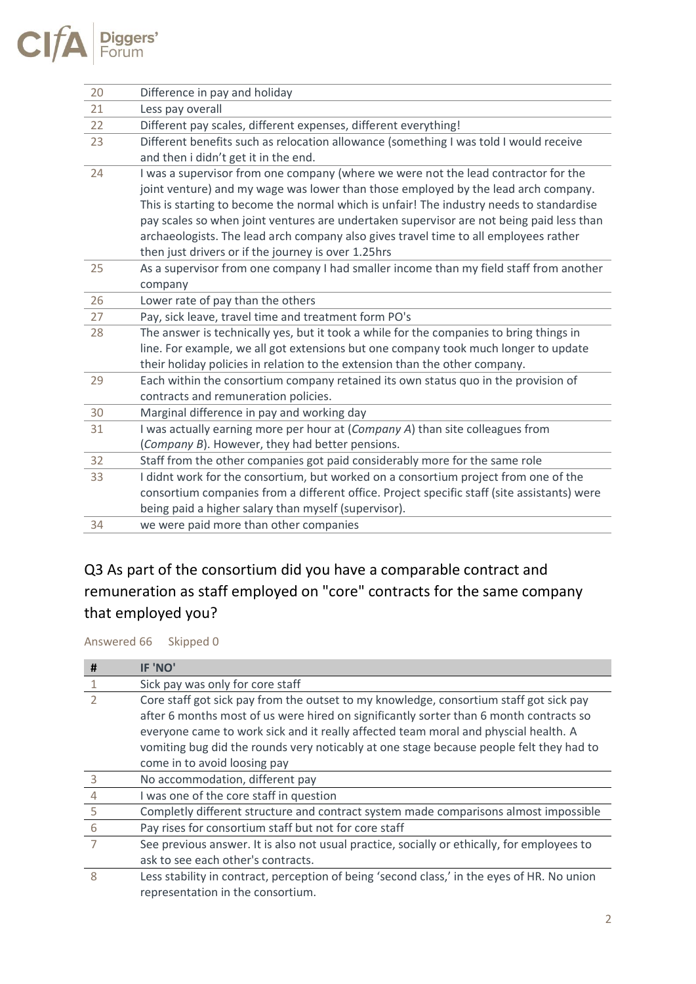

| 20 | Difference in pay and holiday                                                               |
|----|---------------------------------------------------------------------------------------------|
| 21 | Less pay overall                                                                            |
| 22 | Different pay scales, different expenses, different everything!                             |
| 23 | Different benefits such as relocation allowance (something I was told I would receive       |
|    | and then i didn't get it in the end.                                                        |
| 24 | I was a supervisor from one company (where we were not the lead contractor for the          |
|    | joint venture) and my wage was lower than those employed by the lead arch company.          |
|    | This is starting to become the normal which is unfair! The industry needs to standardise    |
|    | pay scales so when joint ventures are undertaken supervisor are not being paid less than    |
|    | archaeologists. The lead arch company also gives travel time to all employees rather        |
|    | then just drivers or if the journey is over 1.25hrs                                         |
| 25 | As a supervisor from one company I had smaller income than my field staff from another      |
|    | company                                                                                     |
| 26 | Lower rate of pay than the others                                                           |
| 27 | Pay, sick leave, travel time and treatment form PO's                                        |
| 28 | The answer is technically yes, but it took a while for the companies to bring things in     |
|    | line. For example, we all got extensions but one company took much longer to update         |
|    | their holiday policies in relation to the extension than the other company.                 |
| 29 | Each within the consortium company retained its own status quo in the provision of          |
|    | contracts and remuneration policies.                                                        |
| 30 | Marginal difference in pay and working day                                                  |
| 31 | I was actually earning more per hour at (Company A) than site colleagues from               |
|    | (Company B). However, they had better pensions.                                             |
| 32 | Staff from the other companies got paid considerably more for the same role                 |
| 33 | I didnt work for the consortium, but worked on a consortium project from one of the         |
|    | consortium companies from a different office. Project specific staff (site assistants) were |
|    | being paid a higher salary than myself (supervisor).                                        |
| 34 | we were paid more than other companies                                                      |

## Q3 As part of the consortium did you have a comparable contract and remuneration as staff employed on "core" contracts for the same company that employed you?

Answered 66 Skipped 0

| #              | IF 'NO'                                                                                                                                                                                                                                                                                                                                                                                            |
|----------------|----------------------------------------------------------------------------------------------------------------------------------------------------------------------------------------------------------------------------------------------------------------------------------------------------------------------------------------------------------------------------------------------------|
|                | Sick pay was only for core staff                                                                                                                                                                                                                                                                                                                                                                   |
|                | Core staff got sick pay from the outset to my knowledge, consortium staff got sick pay<br>after 6 months most of us were hired on significantly sorter than 6 month contracts so<br>everyone came to work sick and it really affected team moral and physcial health. A<br>vomiting bug did the rounds very noticably at one stage because people felt they had to<br>come in to avoid loosing pay |
| 3              | No accommodation, different pay                                                                                                                                                                                                                                                                                                                                                                    |
| $\overline{4}$ | I was one of the core staff in question                                                                                                                                                                                                                                                                                                                                                            |
| - 5            | Completly different structure and contract system made comparisons almost impossible                                                                                                                                                                                                                                                                                                               |
| -6             | Pay rises for consortium staff but not for core staff                                                                                                                                                                                                                                                                                                                                              |
|                | See previous answer. It is also not usual practice, socially or ethically, for employees to<br>ask to see each other's contracts.                                                                                                                                                                                                                                                                  |
| 8              | Less stability in contract, perception of being 'second class,' in the eyes of HR. No union<br>representation in the consortium.                                                                                                                                                                                                                                                                   |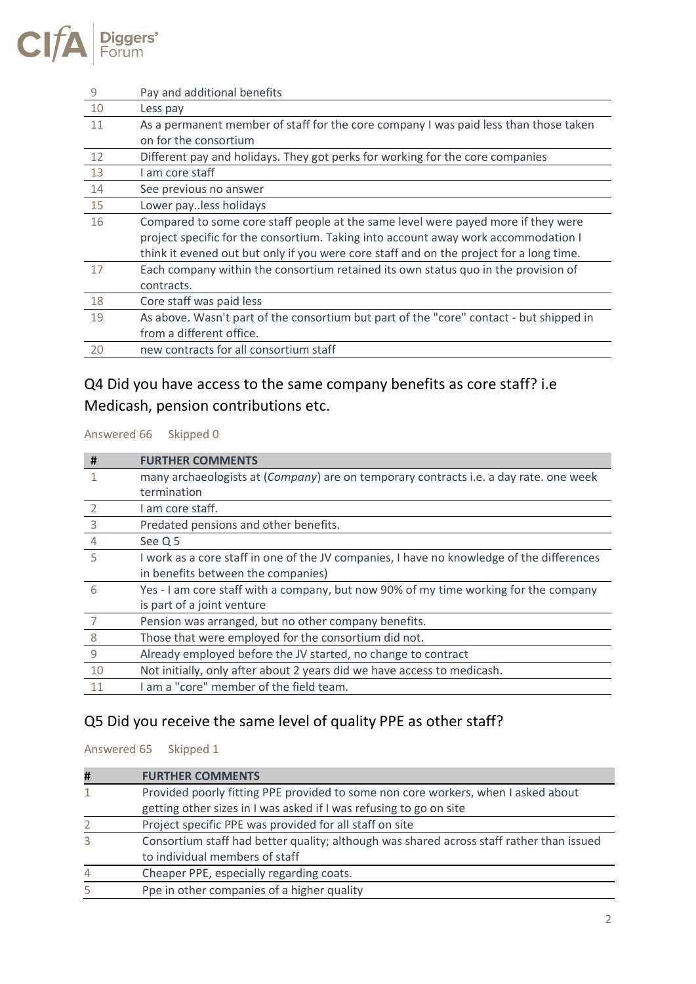

| 9  | Pay and additional benefits                                                             |
|----|-----------------------------------------------------------------------------------------|
| 10 | Less pay                                                                                |
| 11 | As a permanent member of staff for the core company I was paid less than those taken    |
|    | on for the consortium                                                                   |
| 12 | Different pay and holidays. They got perks for working for the core companies           |
| 13 | I am core staff                                                                         |
| 14 | See previous no answer                                                                  |
| 15 | Lower payless holidays                                                                  |
| 16 | Compared to some core staff people at the same level were payed more if they were       |
|    | project specific for the consortium. Taking into account away work accommodation I      |
|    | think it evened out but only if you were core staff and on the project for a long time. |
| 17 | Each company within the consortium retained its own status quo in the provision of      |
|    | contracts.                                                                              |
| 18 | Core staff was paid less                                                                |
| 19 | As above. Wasn't part of the consortium but part of the "core" contact - but shipped in |
|    | from a different office.                                                                |
| 20 | new contracts for all consortium staff                                                  |

### Q4 Did you have access to the same company benefits as core staff? i.e Medicash, pension contributions etc.

Answered 66 Skipped 0

| #              | <b>FURTHER COMMENTS</b>                                                                   |
|----------------|-------------------------------------------------------------------------------------------|
| 1              | many archaeologists at (Company) are on temporary contracts i.e. a day rate. one week     |
|                | termination                                                                               |
| $\mathcal{L}$  | I am core staff.                                                                          |
| $\overline{3}$ | Predated pensions and other benefits.                                                     |
| $\overline{4}$ | See Q 5                                                                                   |
| .5             | I work as a core staff in one of the JV companies, I have no knowledge of the differences |
|                | in benefits between the companies)                                                        |
| 6              | Yes - I am core staff with a company, but now 90% of my time working for the company      |
|                | is part of a joint venture                                                                |
| -7             | Pension was arranged, but no other company benefits.                                      |
| 8              | Those that were employed for the consortium did not.                                      |
| 9              | Already employed before the JV started, no change to contract                             |
| 10             | Not initially, only after about 2 years did we have access to medicash.                   |
| 11             | I am a "core" member of the field team.                                                   |

#### Q5 Did you receive the same level of quality PPE as other staff?

Answered 65 Skipped 1

| # | <b>FURTHER COMMENTS</b>                                                                  |
|---|------------------------------------------------------------------------------------------|
| 1 | Provided poorly fitting PPE provided to some non core workers, when I asked about        |
|   | getting other sizes in I was asked if I was refusing to go on site                       |
| 2 | Project specific PPE was provided for all staff on site                                  |
| 3 | Consortium staff had better quality; although was shared across staff rather than issued |
|   | to individual members of staff                                                           |
| 4 | Cheaper PPE, especially regarding coats.                                                 |
| 5 | Ppe in other companies of a higher quality                                               |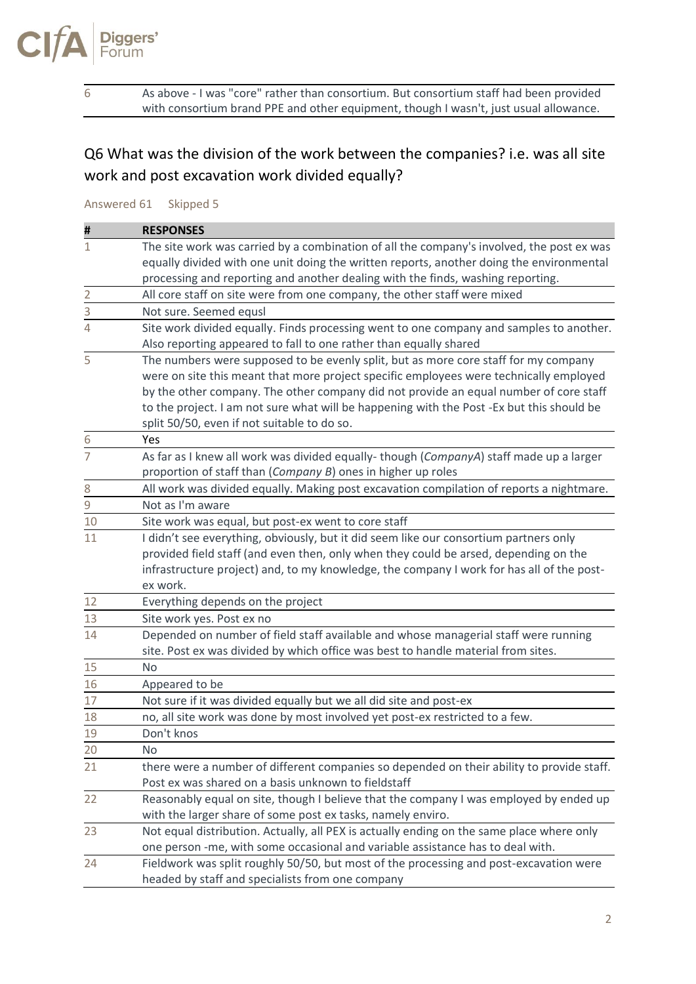

6 As above - I was "core" rather than consortium. But consortium staff had been provided with consortium brand PPE and other equipment, though I wasn't, just usual allowance.

Q6 What was the division of the work between the companies? i.e. was all site work and post excavation work divided equally?

Answered 61 Skipped 5

| Ħ                       | <b>RESPONSES</b>                                                                          |
|-------------------------|-------------------------------------------------------------------------------------------|
| $\mathbf{1}$            | The site work was carried by a combination of all the company's involved, the post ex was |
|                         | equally divided with one unit doing the written reports, another doing the environmental  |
|                         | processing and reporting and another dealing with the finds, washing reporting.           |
| $\overline{\mathbf{c}}$ | All core staff on site were from one company, the other staff were mixed                  |
| $\frac{3}{2}$           | Not sure. Seemed equsl                                                                    |
| 4                       | Site work divided equally. Finds processing went to one company and samples to another.   |
|                         | Also reporting appeared to fall to one rather than equally shared                         |
| 5                       | The numbers were supposed to be evenly split, but as more core staff for my company       |
|                         | were on site this meant that more project specific employees were technically employed    |
|                         | by the other company. The other company did not provide an equal number of core staff     |
|                         | to the project. I am not sure what will be happening with the Post -Ex but this should be |
|                         | split 50/50, even if not suitable to do so.                                               |
| 6                       | Yes                                                                                       |
| $\overline{7}$          | As far as I knew all work was divided equally- though (CompanyA) staff made up a larger   |
|                         | proportion of staff than (Company B) ones in higher up roles                              |
| 8                       | All work was divided equally. Making post excavation compilation of reports a nightmare.  |
| 9                       | Not as I'm aware                                                                          |
| 10                      | Site work was equal, but post-ex went to core staff                                       |
| 11                      | I didn't see everything, obviously, but it did seem like our consortium partners only     |
|                         | provided field staff (and even then, only when they could be arsed, depending on the      |
|                         | infrastructure project) and, to my knowledge, the company I work for has all of the post- |
|                         | ex work.                                                                                  |
| 12                      | Everything depends on the project                                                         |
| 13                      | Site work yes. Post ex no                                                                 |
| 14                      | Depended on number of field staff available and whose managerial staff were running       |
|                         | site. Post ex was divided by which office was best to handle material from sites.         |
| 15                      | <b>No</b>                                                                                 |
| 16                      | Appeared to be                                                                            |
| 17                      | Not sure if it was divided equally but we all did site and post-ex                        |
| 18                      | no, all site work was done by most involved yet post-ex restricted to a few.              |
| 19                      | Don't knos                                                                                |
| 20                      | No                                                                                        |
| 21                      | there were a number of different companies so depended on their ability to provide staff. |
|                         | Post ex was shared on a basis unknown to fieldstaff                                       |
| 22                      | Reasonably equal on site, though I believe that the company I was employed by ended up    |
|                         | with the larger share of some post ex tasks, namely enviro.                               |
| 23                      | Not equal distribution. Actually, all PEX is actually ending on the same place where only |
|                         | one person -me, with some occasional and variable assistance has to deal with.            |
| 24                      | Fieldwork was split roughly 50/50, but most of the processing and post-excavation were    |
|                         | headed by staff and specialists from one company                                          |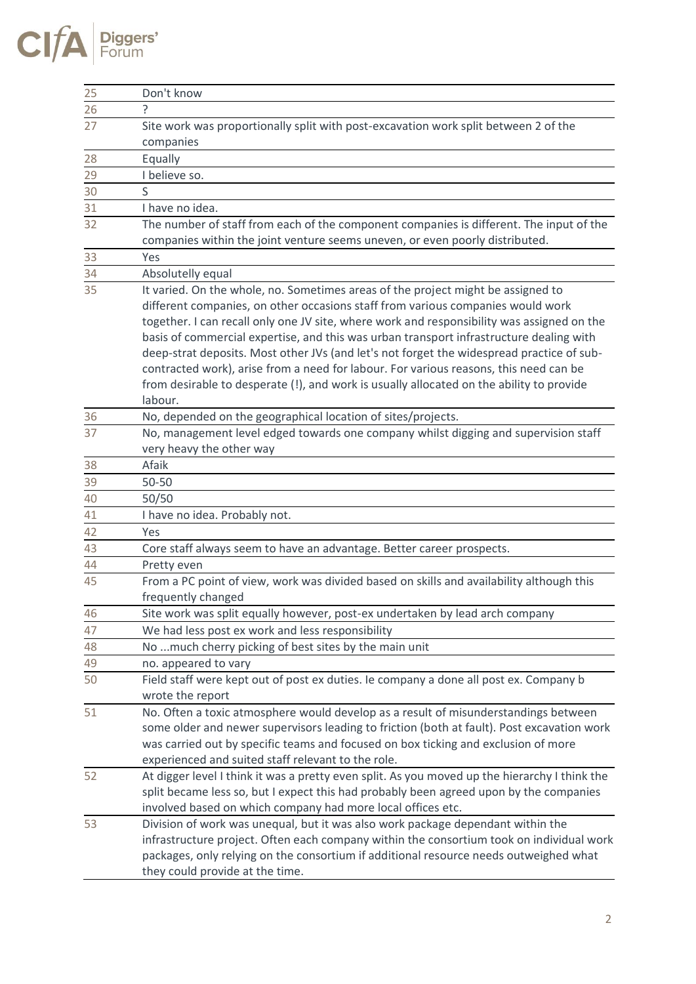| 25              | Don't know                                                                                    |
|-----------------|-----------------------------------------------------------------------------------------------|
| $\overline{26}$ | 5.                                                                                            |
| 27              | Site work was proportionally split with post-excavation work split between 2 of the           |
|                 | companies                                                                                     |
| 28              | Equally                                                                                       |
| 29              | I believe so.                                                                                 |
| 30              | S                                                                                             |
| 31              | I have no idea.                                                                               |
| 32              | The number of staff from each of the component companies is different. The input of the       |
|                 | companies within the joint venture seems uneven, or even poorly distributed.                  |
| 33              | Yes                                                                                           |
| 34              | Absolutelly equal                                                                             |
| 35              | It varied. On the whole, no. Sometimes areas of the project might be assigned to              |
|                 | different companies, on other occasions staff from various companies would work               |
|                 | together. I can recall only one JV site, where work and responsibility was assigned on the    |
|                 | basis of commercial expertise, and this was urban transport infrastructure dealing with       |
|                 | deep-strat deposits. Most other JVs (and let's not forget the widespread practice of sub-     |
|                 | contracted work), arise from a need for labour. For various reasons, this need can be         |
|                 | from desirable to desperate (!), and work is usually allocated on the ability to provide      |
|                 | labour.                                                                                       |
| 36              | No, depended on the geographical location of sites/projects.                                  |
| 37              | No, management level edged towards one company whilst digging and supervision staff           |
|                 | very heavy the other way                                                                      |
| 38              | Afaik                                                                                         |
| 39              | 50-50                                                                                         |
| 40              | 50/50                                                                                         |
| 41              | I have no idea. Probably not.                                                                 |
| 42              | Yes                                                                                           |
| 43              | Core staff always seem to have an advantage. Better career prospects.                         |
| 44              | Pretty even                                                                                   |
| 45              | From a PC point of view, work was divided based on skills and availability although this      |
|                 | frequently changed                                                                            |
| 46              | Site work was split equally however, post-ex undertaken by lead arch company                  |
| 47              | We had less post ex work and less responsibility                                              |
| 48              | No much cherry picking of best sites by the main unit                                         |
| 49              | no. appeared to vary                                                                          |
| 50              | Field staff were kept out of post ex duties. Ie company a done all post ex. Company b         |
|                 | wrote the report                                                                              |
| 51              | No. Often a toxic atmosphere would develop as a result of misunderstandings between           |
|                 | some older and newer supervisors leading to friction (both at fault). Post excavation work    |
|                 | was carried out by specific teams and focused on box ticking and exclusion of more            |
|                 | experienced and suited staff relevant to the role.                                            |
| 52              | At digger level I think it was a pretty even split. As you moved up the hierarchy I think the |
|                 | split became less so, but I expect this had probably been agreed upon by the companies        |
|                 | involved based on which company had more local offices etc.                                   |
| 53              | Division of work was unequal, but it was also work package dependant within the               |
|                 | infrastructure project. Often each company within the consortium took on individual work      |
|                 | packages, only relying on the consortium if additional resource needs outweighed what         |
|                 | they could provide at the time.                                                               |

 $CIfA$  Piggers'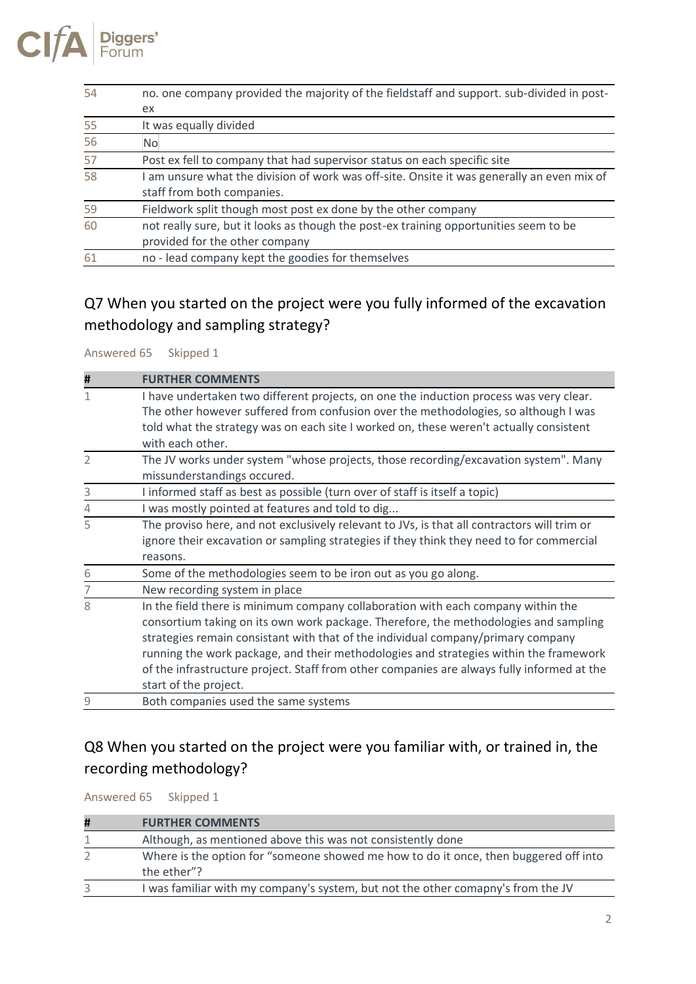

| 54 | no. one company provided the majority of the fieldstaff and support. sub-divided in post- |  |
|----|-------------------------------------------------------------------------------------------|--|
|    | ex.                                                                                       |  |
| 55 | It was equally divided                                                                    |  |
| 56 | N <sub>o</sub>                                                                            |  |
| 57 | Post ex fell to company that had supervisor status on each specific site                  |  |
| 58 | am unsure what the division of work was off-site. Onsite it was generally an even mix of  |  |
|    | staff from both companies.                                                                |  |
| 59 | Fieldwork split though most post ex done by the other company                             |  |
| 60 | not really sure, but it looks as though the post-ex training opportunities seem to be     |  |
|    | provided for the other company                                                            |  |
| 61 | no - lead company kept the goodies for themselves                                         |  |

## Q7 When you started on the project were you fully informed of the excavation methodology and sampling strategy?

Answered 65 Skipped 1

| #              | <b>FURTHER COMMENTS</b>                                                                                                                                                                                                                                                                                                                                                                                                                                                      |
|----------------|------------------------------------------------------------------------------------------------------------------------------------------------------------------------------------------------------------------------------------------------------------------------------------------------------------------------------------------------------------------------------------------------------------------------------------------------------------------------------|
|                | I have undertaken two different projects, on one the induction process was very clear.<br>The other however suffered from confusion over the methodologies, so although I was<br>told what the strategy was on each site I worked on, these weren't actually consistent<br>with each other.                                                                                                                                                                                  |
| $\overline{2}$ | The JV works under system "whose projects, those recording/excavation system". Many<br>missunderstandings occured.                                                                                                                                                                                                                                                                                                                                                           |
| 3              | I informed staff as best as possible (turn over of staff is itself a topic)                                                                                                                                                                                                                                                                                                                                                                                                  |
| 4              | I was mostly pointed at features and told to dig                                                                                                                                                                                                                                                                                                                                                                                                                             |
| 5              | The proviso here, and not exclusively relevant to JVs, is that all contractors will trim or<br>ignore their excavation or sampling strategies if they think they need to for commercial<br>reasons.                                                                                                                                                                                                                                                                          |
| 6              | Some of the methodologies seem to be iron out as you go along.                                                                                                                                                                                                                                                                                                                                                                                                               |
| 7              | New recording system in place                                                                                                                                                                                                                                                                                                                                                                                                                                                |
| 8              | In the field there is minimum company collaboration with each company within the<br>consortium taking on its own work package. Therefore, the methodologies and sampling<br>strategies remain consistant with that of the individual company/primary company<br>running the work package, and their methodologies and strategies within the framework<br>of the infrastructure project. Staff from other companies are always fully informed at the<br>start of the project. |
| 9              | Both companies used the same systems                                                                                                                                                                                                                                                                                                                                                                                                                                         |

#### Q8 When you started on the project were you familiar with, or trained in, the recording methodology?

Answered 65 Skipped 1

| Ħ | <b>FURTHER COMMENTS</b>                                                                             |
|---|-----------------------------------------------------------------------------------------------------|
|   | Although, as mentioned above this was not consistently done                                         |
|   | Where is the option for "someone showed me how to do it once, then buggered off into<br>the ether"? |
| 3 | I was familiar with my company's system, but not the other comapny's from the JV                    |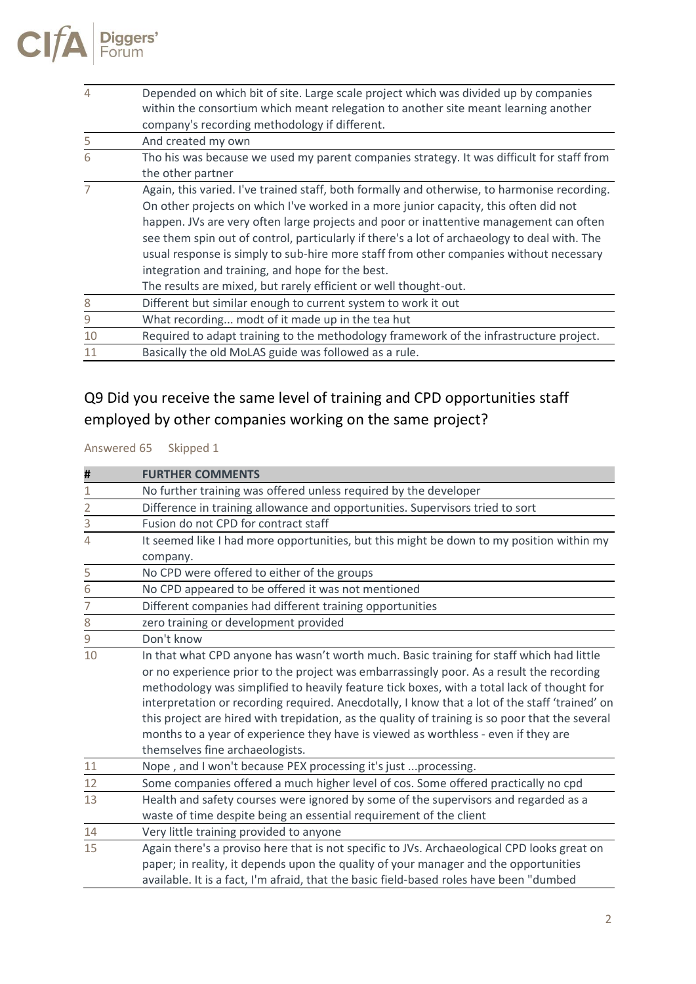| 4  | Depended on which bit of site. Large scale project which was divided up by companies<br>within the consortium which meant relegation to another site meant learning another<br>company's recording methodology if different.                                                                                                                                                                                                                                                                                                                                                                     |
|----|--------------------------------------------------------------------------------------------------------------------------------------------------------------------------------------------------------------------------------------------------------------------------------------------------------------------------------------------------------------------------------------------------------------------------------------------------------------------------------------------------------------------------------------------------------------------------------------------------|
| 5  | And created my own                                                                                                                                                                                                                                                                                                                                                                                                                                                                                                                                                                               |
| 6  | Tho his was because we used my parent companies strategy. It was difficult for staff from<br>the other partner                                                                                                                                                                                                                                                                                                                                                                                                                                                                                   |
|    | Again, this varied. I've trained staff, both formally and otherwise, to harmonise recording.<br>On other projects on which I've worked in a more junior capacity, this often did not<br>happen. JVs are very often large projects and poor or inattentive management can often<br>see them spin out of control, particularly if there's a lot of archaeology to deal with. The<br>usual response is simply to sub-hire more staff from other companies without necessary<br>integration and training, and hope for the best.<br>The results are mixed, but rarely efficient or well thought-out. |
| 8  | Different but similar enough to current system to work it out                                                                                                                                                                                                                                                                                                                                                                                                                                                                                                                                    |
| 9  | What recording modt of it made up in the tea hut                                                                                                                                                                                                                                                                                                                                                                                                                                                                                                                                                 |
| 10 | Required to adapt training to the methodology framework of the infrastructure project.                                                                                                                                                                                                                                                                                                                                                                                                                                                                                                           |
| 11 | Basically the old MoLAS guide was followed as a rule.                                                                                                                                                                                                                                                                                                                                                                                                                                                                                                                                            |

### Q9 Did you receive the same level of training and CPD opportunities staff employed by other companies working on the same project?

Answered 65 Skipped 1

| #              | <b>FURTHER COMMENTS</b>                                                                         |
|----------------|-------------------------------------------------------------------------------------------------|
| 1              | No further training was offered unless required by the developer                                |
| $\overline{2}$ | Difference in training allowance and opportunities. Supervisors tried to sort                   |
| 3              | Fusion do not CPD for contract staff                                                            |
| 4              | It seemed like I had more opportunities, but this might be down to my position within my        |
|                | company.                                                                                        |
| 5              | No CPD were offered to either of the groups                                                     |
| 6              | No CPD appeared to be offered it was not mentioned                                              |
| 7              | Different companies had different training opportunities                                        |
| 8              | zero training or development provided                                                           |
| 9              | Don't know                                                                                      |
| 10             | In that what CPD anyone has wasn't worth much. Basic training for staff which had little        |
|                | or no experience prior to the project was embarrassingly poor. As a result the recording        |
|                | methodology was simplified to heavily feature tick boxes, with a total lack of thought for      |
|                | interpretation or recording required. Anecdotally, I know that a lot of the staff 'trained' on  |
|                | this project are hired with trepidation, as the quality of training is so poor that the several |
|                | months to a year of experience they have is viewed as worthless - even if they are              |
|                | themselves fine archaeologists.                                                                 |
| 11             | Nope, and I won't because PEX processing it's just  processing.                                 |
| 12             | Some companies offered a much higher level of cos. Some offered practically no cpd              |
| 13             | Health and safety courses were ignored by some of the supervisors and regarded as a             |
|                | waste of time despite being an essential requirement of the client                              |
| 14             | Very little training provided to anyone                                                         |
| 15             | Again there's a proviso here that is not specific to JVs. Archaeological CPD looks great on     |
|                | paper; in reality, it depends upon the quality of your manager and the opportunities            |
|                | available. It is a fact, I'm afraid, that the basic field-based roles have been "dumbed         |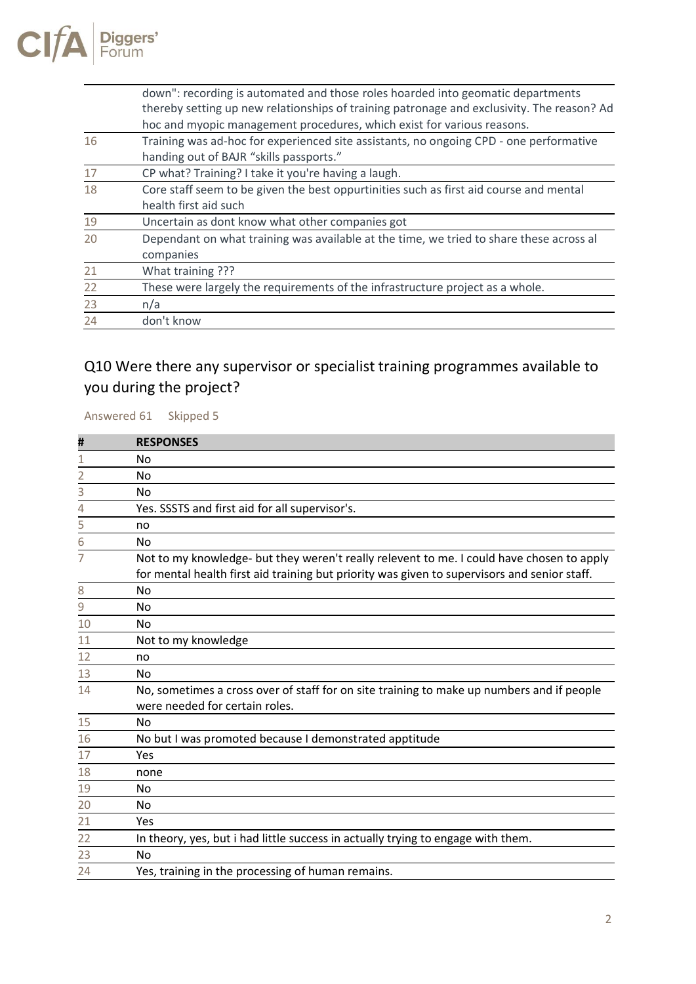

|    | down": recording is automated and those roles hoarded into geomatic departments            |
|----|--------------------------------------------------------------------------------------------|
|    | thereby setting up new relationships of training patronage and exclusivity. The reason? Ad |
|    | hoc and myopic management procedures, which exist for various reasons.                     |
| 16 | Training was ad-hoc for experienced site assistants, no ongoing CPD - one performative     |
|    | handing out of BAJR "skills passports."                                                    |
| 17 | CP what? Training? I take it you're having a laugh.                                        |
| 18 | Core staff seem to be given the best oppurtinities such as first aid course and mental     |
|    | health first aid such                                                                      |
| 19 | Uncertain as dont know what other companies got                                            |
| 20 | Dependant on what training was available at the time, we tried to share these across al    |
|    | companies                                                                                  |
| 21 | What training ???                                                                          |
| 22 | These were largely the requirements of the infrastructure project as a whole.              |
| 23 | n/a                                                                                        |
| 24 | don't know                                                                                 |
|    |                                                                                            |

#### Q10 Were there any supervisor or specialist training programmes available to you during the project?

Answered 61 Skipped 5

| Ħ              | <b>RESPONSES</b>                                                                             |
|----------------|----------------------------------------------------------------------------------------------|
| 1              | No                                                                                           |
| $\overline{2}$ | No                                                                                           |
| 3              | No                                                                                           |
| 4              | Yes. SSSTS and first aid for all supervisor's.                                               |
| 5              | no                                                                                           |
| 6              | <b>No</b>                                                                                    |
| 7              | Not to my knowledge- but they weren't really relevent to me. I could have chosen to apply    |
|                | for mental health first aid training but priority was given to supervisors and senior staff. |
| 8              | No                                                                                           |
| 9              | No                                                                                           |
| 10             | No                                                                                           |
| 11             | Not to my knowledge                                                                          |
| 12             | no                                                                                           |
| 13             | No                                                                                           |
| 14             | No, sometimes a cross over of staff for on site training to make up numbers and if people    |
|                | were needed for certain roles.                                                               |
| 15             | No                                                                                           |
| 16             | No but I was promoted because I demonstrated apptitude                                       |
| 17             | Yes                                                                                          |
| 18             | none                                                                                         |
| 19             | No                                                                                           |
| 20             | No                                                                                           |
| 21             | Yes                                                                                          |
| 22             | In theory, yes, but i had little success in actually trying to engage with them.             |
| 23             | No                                                                                           |
| 24             | Yes, training in the processing of human remains.                                            |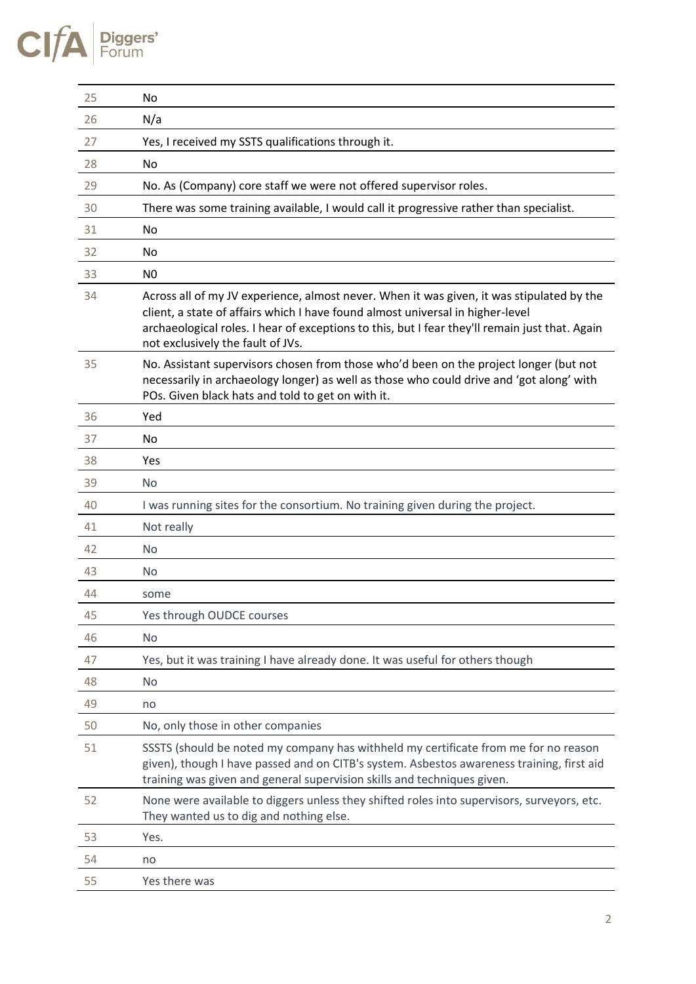# $CIfA$  Piggers'

| 25 | No                                                                                                                                                                                                                                                                                                                 |
|----|--------------------------------------------------------------------------------------------------------------------------------------------------------------------------------------------------------------------------------------------------------------------------------------------------------------------|
| 26 | N/a                                                                                                                                                                                                                                                                                                                |
| 27 | Yes, I received my SSTS qualifications through it.                                                                                                                                                                                                                                                                 |
| 28 | No                                                                                                                                                                                                                                                                                                                 |
| 29 | No. As (Company) core staff we were not offered supervisor roles.                                                                                                                                                                                                                                                  |
| 30 | There was some training available, I would call it progressive rather than specialist.                                                                                                                                                                                                                             |
| 31 | No                                                                                                                                                                                                                                                                                                                 |
| 32 | No                                                                                                                                                                                                                                                                                                                 |
| 33 | N <sub>0</sub>                                                                                                                                                                                                                                                                                                     |
| 34 | Across all of my JV experience, almost never. When it was given, it was stipulated by the<br>client, a state of affairs which I have found almost universal in higher-level<br>archaeological roles. I hear of exceptions to this, but I fear they'll remain just that. Again<br>not exclusively the fault of JVs. |
| 35 | No. Assistant supervisors chosen from those who'd been on the project longer (but not<br>necessarily in archaeology longer) as well as those who could drive and 'got along' with<br>POs. Given black hats and told to get on with it.                                                                             |
| 36 | Yed                                                                                                                                                                                                                                                                                                                |
| 37 | No                                                                                                                                                                                                                                                                                                                 |
| 38 | Yes                                                                                                                                                                                                                                                                                                                |
| 39 | <b>No</b>                                                                                                                                                                                                                                                                                                          |
| 40 | I was running sites for the consortium. No training given during the project.                                                                                                                                                                                                                                      |
| 41 | Not really                                                                                                                                                                                                                                                                                                         |
| 42 | <b>No</b>                                                                                                                                                                                                                                                                                                          |
| 43 | <b>No</b>                                                                                                                                                                                                                                                                                                          |
| 44 | some                                                                                                                                                                                                                                                                                                               |
| 45 | Yes through OUDCE courses                                                                                                                                                                                                                                                                                          |
| 46 | No                                                                                                                                                                                                                                                                                                                 |
| 47 | Yes, but it was training I have already done. It was useful for others though                                                                                                                                                                                                                                      |
| 48 | No                                                                                                                                                                                                                                                                                                                 |
| 49 | no                                                                                                                                                                                                                                                                                                                 |
| 50 | No, only those in other companies                                                                                                                                                                                                                                                                                  |
| 51 | SSSTS (should be noted my company has withheld my certificate from me for no reason<br>given), though I have passed and on CITB's system. Asbestos awareness training, first aid<br>training was given and general supervision skills and techniques given.                                                        |
| 52 | None were available to diggers unless they shifted roles into supervisors, surveyors, etc.<br>They wanted us to dig and nothing else.                                                                                                                                                                              |
| 53 | Yes.                                                                                                                                                                                                                                                                                                               |
| 54 | no                                                                                                                                                                                                                                                                                                                 |
| 55 | Yes there was                                                                                                                                                                                                                                                                                                      |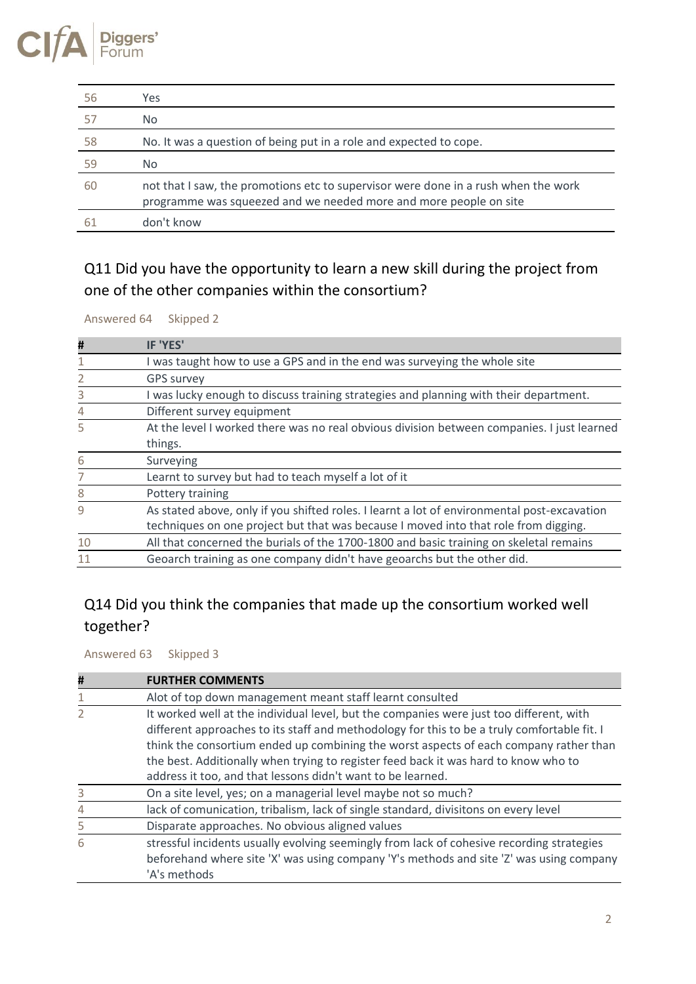#### CI gers' Forum

| -56 | Yes                                                                                                                                                     |
|-----|---------------------------------------------------------------------------------------------------------------------------------------------------------|
| 57  | No.                                                                                                                                                     |
| 58  | No. It was a question of being put in a role and expected to cope.                                                                                      |
| 59  | No.                                                                                                                                                     |
| 60  | not that I saw, the promotions etc to supervisor were done in a rush when the work<br>programme was squeezed and we needed more and more people on site |
|     | don't know                                                                                                                                              |

### Q11 Did you have the opportunity to learn a new skill during the project from one of the other companies within the consortium?

Answered 64 Skipped 2

| #  | <b>IF 'YES'</b>                                                                             |
|----|---------------------------------------------------------------------------------------------|
|    | I was taught how to use a GPS and in the end was surveying the whole site                   |
|    | <b>GPS survey</b>                                                                           |
| 3  | I was lucky enough to discuss training strategies and planning with their department.       |
| 4  | Different survey equipment                                                                  |
| 5  | At the level I worked there was no real obvious division between companies. I just learned  |
|    | things.                                                                                     |
| 6  | Surveying                                                                                   |
|    | Learnt to survey but had to teach myself a lot of it                                        |
| 8  | Pottery training                                                                            |
| 9  | As stated above, only if you shifted roles. I learnt a lot of environmental post-excavation |
|    | techniques on one project but that was because I moved into that role from digging.         |
| 10 | All that concerned the burials of the 1700-1800 and basic training on skeletal remains      |
| 11 | Geoarch training as one company didn't have geoarchs but the other did.                     |

#### Q14 Did you think the companies that made up the consortium worked well together?

Answered 63 Skipped 3

| # | <b>FURTHER COMMENTS</b>                                                                                                                                                                                                                                                                                                                                                                                                               |
|---|---------------------------------------------------------------------------------------------------------------------------------------------------------------------------------------------------------------------------------------------------------------------------------------------------------------------------------------------------------------------------------------------------------------------------------------|
|   | Alot of top down management meant staff learnt consulted                                                                                                                                                                                                                                                                                                                                                                              |
|   | It worked well at the individual level, but the companies were just too different, with<br>different approaches to its staff and methodology for this to be a truly comfortable fit. I<br>think the consortium ended up combining the worst aspects of each company rather than<br>the best. Additionally when trying to register feed back it was hard to know who to<br>address it too, and that lessons didn't want to be learned. |
| 3 | On a site level, yes; on a managerial level maybe not so much?                                                                                                                                                                                                                                                                                                                                                                        |
|   | lack of comunication, tribalism, lack of single standard, divisitons on every level                                                                                                                                                                                                                                                                                                                                                   |
| 5 | Disparate approaches. No obvious aligned values                                                                                                                                                                                                                                                                                                                                                                                       |
| 6 | stressful incidents usually evolving seemingly from lack of cohesive recording strategies<br>beforehand where site 'X' was using company 'Y's methods and site 'Z' was using company<br>'A's methods                                                                                                                                                                                                                                  |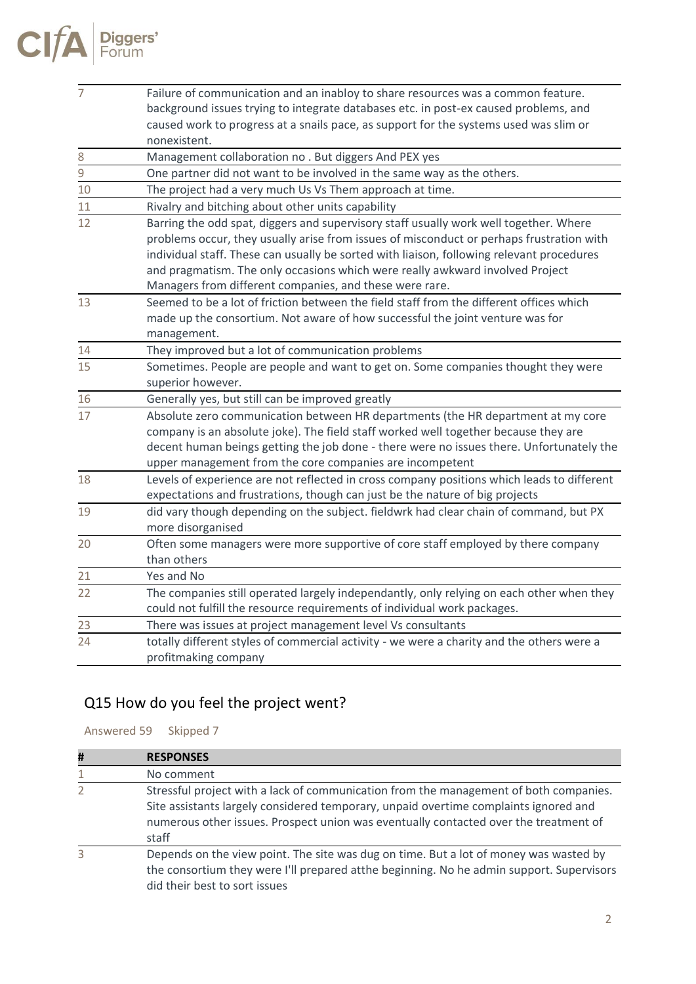| $\overline{7}$  | Failure of communication and an inabloy to share resources was a common feature.           |
|-----------------|--------------------------------------------------------------------------------------------|
|                 | background issues trying to integrate databases etc. in post-ex caused problems, and       |
|                 | caused work to progress at a snails pace, as support for the systems used was slim or      |
|                 | nonexistent.                                                                               |
| $\,8\,$         | Management collaboration no . But diggers And PEX yes                                      |
| $\overline{9}$  | One partner did not want to be involved in the same way as the others.                     |
| $10\,$          | The project had a very much Us Vs Them approach at time.                                   |
| 11              | Rivalry and bitching about other units capability                                          |
| 12              | Barring the odd spat, diggers and supervisory staff usually work well together. Where      |
|                 | problems occur, they usually arise from issues of misconduct or perhaps frustration with   |
|                 | individual staff. These can usually be sorted with liaison, following relevant procedures  |
|                 | and pragmatism. The only occasions which were really awkward involved Project              |
|                 | Managers from different companies, and these were rare.                                    |
| 13              | Seemed to be a lot of friction between the field staff from the different offices which    |
|                 | made up the consortium. Not aware of how successful the joint venture was for              |
|                 | management.                                                                                |
| 14              | They improved but a lot of communication problems                                          |
| 15              | Sometimes. People are people and want to get on. Some companies thought they were          |
|                 | superior however.                                                                          |
| $\frac{16}{17}$ | Generally yes, but still can be improved greatly                                           |
|                 | Absolute zero communication between HR departments (the HR department at my core           |
|                 | company is an absolute joke). The field staff worked well together because they are        |
|                 | decent human beings getting the job done - there were no issues there. Unfortunately the   |
|                 | upper management from the core companies are incompetent                                   |
| 18              | Levels of experience are not reflected in cross company positions which leads to different |
|                 | expectations and frustrations, though can just be the nature of big projects               |
| 19              | did vary though depending on the subject. fieldwrk had clear chain of command, but PX      |
|                 | more disorganised                                                                          |
| 20              | Often some managers were more supportive of core staff employed by there company           |
|                 | than others                                                                                |
| 21              | Yes and No                                                                                 |
| 22              | The companies still operated largely independantly, only relying on each other when they   |
|                 | could not fulfill the resource requirements of individual work packages.                   |
| 23              | There was issues at project management level Vs consultants                                |
| 24              | totally different styles of commercial activity - we were a charity and the others were a  |
|                 | profitmaking company                                                                       |

# Q15 How do you feel the project went?

Answered 59 Skipped 7

| # | <b>RESPONSES</b>                                                                                                                                                                                                                                                               |
|---|--------------------------------------------------------------------------------------------------------------------------------------------------------------------------------------------------------------------------------------------------------------------------------|
| 1 | No comment                                                                                                                                                                                                                                                                     |
| 2 | Stressful project with a lack of communication from the management of both companies.<br>Site assistants largely considered temporary, unpaid overtime complaints ignored and<br>numerous other issues. Prospect union was eventually contacted over the treatment of<br>staff |
| 3 | Depends on the view point. The site was dug on time. But a lot of money was wasted by<br>the consortium they were I'll prepared atthe beginning. No he admin support. Supervisors<br>did their best to sort issues                                                             |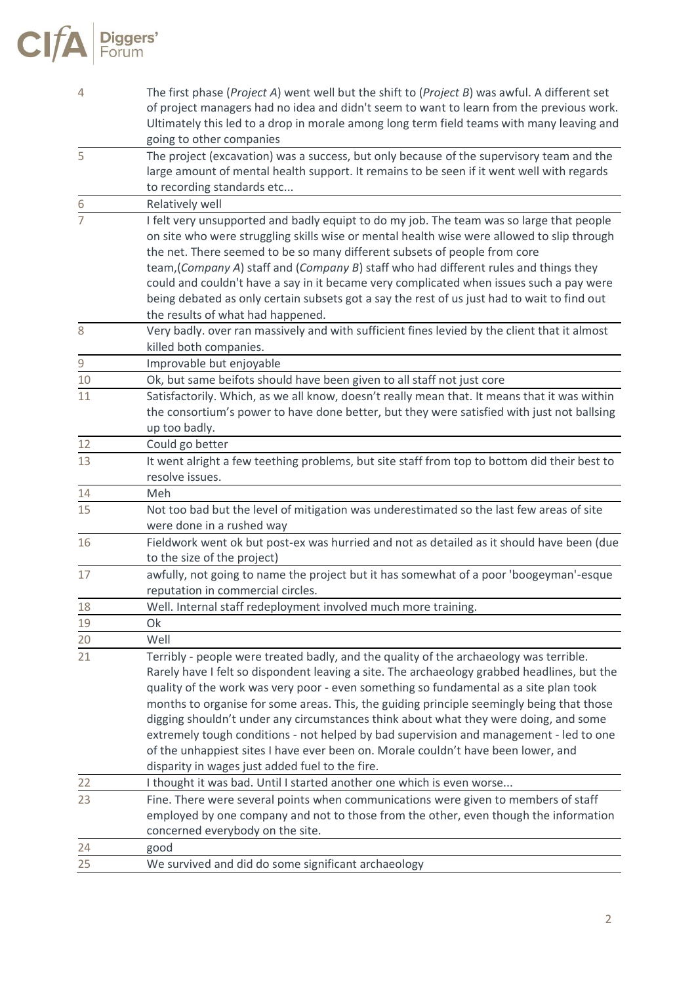| 4               | The first phase (Project A) went well but the shift to (Project B) was awful. A different set                   |
|-----------------|-----------------------------------------------------------------------------------------------------------------|
|                 | of project managers had no idea and didn't seem to want to learn from the previous work.                        |
|                 | Ultimately this led to a drop in morale among long term field teams with many leaving and                       |
|                 | going to other companies                                                                                        |
| 5               | The project (excavation) was a success, but only because of the supervisory team and the                        |
|                 | large amount of mental health support. It remains to be seen if it went well with regards                       |
|                 | to recording standards etc                                                                                      |
|                 | Relatively well                                                                                                 |
|                 | I felt very unsupported and badly equipt to do my job. The team was so large that people                        |
|                 | on site who were struggling skills wise or mental health wise were allowed to slip through                      |
|                 | the net. There seemed to be so many different subsets of people from core                                       |
|                 | team, (Company A) staff and (Company B) staff who had different rules and things they                           |
|                 | could and couldn't have a say in it became very complicated when issues such a pay were                         |
|                 | being debated as only certain subsets got a say the rest of us just had to wait to find out                     |
|                 | the results of what had happened.                                                                               |
| 8               | Very badly. over ran massively and with sufficient fines levied by the client that it almost                    |
|                 | killed both companies.                                                                                          |
| 9               | Improvable but enjoyable                                                                                        |
| 10              | Ok, but same beifots should have been given to all staff not just core                                          |
| 11              | Satisfactorily. Which, as we all know, doesn't really mean that. It means that it was within                    |
|                 | the consortium's power to have done better, but they were satisfied with just not ballsing                      |
|                 | up too badly.                                                                                                   |
| 12<br>13        | Could go better                                                                                                 |
|                 | It went alright a few teething problems, but site staff from top to bottom did their best to<br>resolve issues. |
| 14              | Meh                                                                                                             |
| 15              | Not too bad but the level of mitigation was underestimated so the last few areas of site                        |
|                 | were done in a rushed way                                                                                       |
| 16              | Fieldwork went ok but post-ex was hurried and not as detailed as it should have been (due                       |
|                 | to the size of the project)                                                                                     |
| 17              | awfully, not going to name the project but it has somewhat of a poor 'boogeyman'-esque                          |
|                 | reputation in commercial circles.                                                                               |
| 18              | Well. Internal staff redeployment involved much more training.                                                  |
| 19              | Ok                                                                                                              |
| $\overline{20}$ | Well                                                                                                            |
| 21              | Terribly - people were treated badly, and the quality of the archaeology was terrible.                          |
|                 | Rarely have I felt so dispondent leaving a site. The archaeology grabbed headlines, but the                     |
|                 | quality of the work was very poor - even something so fundamental as a site plan took                           |
|                 | months to organise for some areas. This, the guiding principle seemingly being that those                       |
|                 | digging shouldn't under any circumstances think about what they were doing, and some                            |
|                 | extremely tough conditions - not helped by bad supervision and management - led to one                          |
|                 | of the unhappiest sites I have ever been on. Morale couldn't have been lower, and                               |
|                 | disparity in wages just added fuel to the fire.                                                                 |
| 22              | I thought it was bad. Until I started another one which is even worse                                           |
| 23              | Fine. There were several points when communications were given to members of staff                              |
|                 | employed by one company and not to those from the other, even though the information                            |
|                 | concerned everybody on the site.                                                                                |
| 24              | good                                                                                                            |
| 25              | We survived and did do some significant archaeology                                                             |

 $CIfA$  Piggers'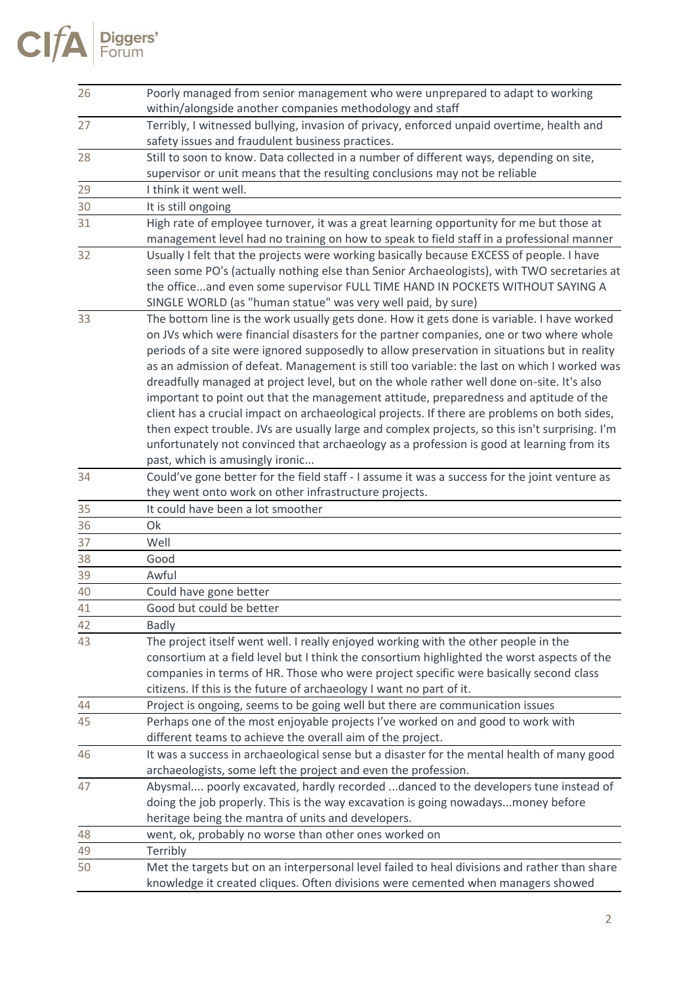

| 26 | Poorly managed from senior management who were unprepared to adapt to working<br>within/alongside another companies methodology and staff                                                                                                                                                                                                                                                                                                                                                                                                                                                                                                                                                                                                                                                                                                                                                                    |
|----|--------------------------------------------------------------------------------------------------------------------------------------------------------------------------------------------------------------------------------------------------------------------------------------------------------------------------------------------------------------------------------------------------------------------------------------------------------------------------------------------------------------------------------------------------------------------------------------------------------------------------------------------------------------------------------------------------------------------------------------------------------------------------------------------------------------------------------------------------------------------------------------------------------------|
| 27 | Terribly, I witnessed bullying, invasion of privacy, enforced unpaid overtime, health and<br>safety issues and fraudulent business practices.                                                                                                                                                                                                                                                                                                                                                                                                                                                                                                                                                                                                                                                                                                                                                                |
| 28 | Still to soon to know. Data collected in a number of different ways, depending on site,<br>supervisor or unit means that the resulting conclusions may not be reliable                                                                                                                                                                                                                                                                                                                                                                                                                                                                                                                                                                                                                                                                                                                                       |
| 29 | I think it went well.                                                                                                                                                                                                                                                                                                                                                                                                                                                                                                                                                                                                                                                                                                                                                                                                                                                                                        |
| 30 | It is still ongoing                                                                                                                                                                                                                                                                                                                                                                                                                                                                                                                                                                                                                                                                                                                                                                                                                                                                                          |
| 31 | High rate of employee turnover, it was a great learning opportunity for me but those at<br>management level had no training on how to speak to field staff in a professional manner                                                                                                                                                                                                                                                                                                                                                                                                                                                                                                                                                                                                                                                                                                                          |
| 32 | Usually I felt that the projects were working basically because EXCESS of people. I have<br>seen some PO's (actually nothing else than Senior Archaeologists), with TWO secretaries at<br>the officeand even some supervisor FULL TIME HAND IN POCKETS WITHOUT SAYING A<br>SINGLE WORLD (as "human statue" was very well paid, by sure)                                                                                                                                                                                                                                                                                                                                                                                                                                                                                                                                                                      |
| 33 | The bottom line is the work usually gets done. How it gets done is variable. I have worked<br>on JVs which were financial disasters for the partner companies, one or two where whole<br>periods of a site were ignored supposedly to allow preservation in situations but in reality<br>as an admission of defeat. Management is still too variable: the last on which I worked was<br>dreadfully managed at project level, but on the whole rather well done on-site. It's also<br>important to point out that the management attitude, preparedness and aptitude of the<br>client has a crucial impact on archaeological projects. If there are problems on both sides,<br>then expect trouble. JVs are usually large and complex projects, so this isn't surprising. I'm<br>unfortunately not convinced that archaeology as a profession is good at learning from its<br>past, which is amusingly ironic |
| 34 | Could've gone better for the field staff - I assume it was a success for the joint venture as<br>they went onto work on other infrastructure projects.                                                                                                                                                                                                                                                                                                                                                                                                                                                                                                                                                                                                                                                                                                                                                       |
| 35 | It could have been a lot smoother                                                                                                                                                                                                                                                                                                                                                                                                                                                                                                                                                                                                                                                                                                                                                                                                                                                                            |
| 36 | Ok                                                                                                                                                                                                                                                                                                                                                                                                                                                                                                                                                                                                                                                                                                                                                                                                                                                                                                           |
| 37 | Well                                                                                                                                                                                                                                                                                                                                                                                                                                                                                                                                                                                                                                                                                                                                                                                                                                                                                                         |
| 38 | Good                                                                                                                                                                                                                                                                                                                                                                                                                                                                                                                                                                                                                                                                                                                                                                                                                                                                                                         |
| 39 | Awful                                                                                                                                                                                                                                                                                                                                                                                                                                                                                                                                                                                                                                                                                                                                                                                                                                                                                                        |
| 40 | Could have gone better                                                                                                                                                                                                                                                                                                                                                                                                                                                                                                                                                                                                                                                                                                                                                                                                                                                                                       |
| 41 | Good but could be better                                                                                                                                                                                                                                                                                                                                                                                                                                                                                                                                                                                                                                                                                                                                                                                                                                                                                     |
| 42 | <b>Badly</b>                                                                                                                                                                                                                                                                                                                                                                                                                                                                                                                                                                                                                                                                                                                                                                                                                                                                                                 |
| 43 | The project itself went well. I really enjoyed working with the other people in the<br>consortium at a field level but I think the consortium highlighted the worst aspects of the<br>companies in terms of HR. Those who were project specific were basically second class<br>citizens. If this is the future of archaeology I want no part of it.                                                                                                                                                                                                                                                                                                                                                                                                                                                                                                                                                          |
| 44 | Project is ongoing, seems to be going well but there are communication issues                                                                                                                                                                                                                                                                                                                                                                                                                                                                                                                                                                                                                                                                                                                                                                                                                                |
| 45 | Perhaps one of the most enjoyable projects I've worked on and good to work with<br>different teams to achieve the overall aim of the project.                                                                                                                                                                                                                                                                                                                                                                                                                                                                                                                                                                                                                                                                                                                                                                |
| 46 | It was a success in archaeological sense but a disaster for the mental health of many good<br>archaeologists, some left the project and even the profession.                                                                                                                                                                                                                                                                                                                                                                                                                                                                                                                                                                                                                                                                                                                                                 |
| 47 | Abysmal poorly excavated, hardly recorded danced to the developers tune instead of<br>doing the job properly. This is the way excavation is going nowadaysmoney before<br>heritage being the mantra of units and developers.                                                                                                                                                                                                                                                                                                                                                                                                                                                                                                                                                                                                                                                                                 |
| 48 | went, ok, probably no worse than other ones worked on                                                                                                                                                                                                                                                                                                                                                                                                                                                                                                                                                                                                                                                                                                                                                                                                                                                        |
| 49 | Terribly                                                                                                                                                                                                                                                                                                                                                                                                                                                                                                                                                                                                                                                                                                                                                                                                                                                                                                     |
| 50 | Met the targets but on an interpersonal level failed to heal divisions and rather than share<br>knowledge it created cliques. Often divisions were cemented when managers showed                                                                                                                                                                                                                                                                                                                                                                                                                                                                                                                                                                                                                                                                                                                             |